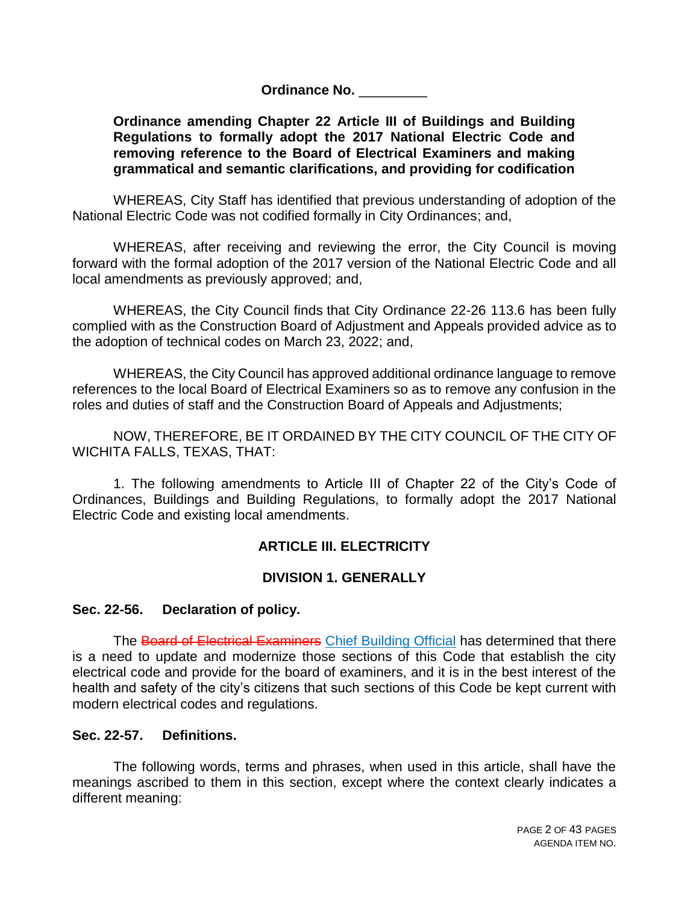**Ordinance No. Designation** 

#### **Ordinance amending Chapter 22 Article III of Buildings and Building Regulations to formally adopt the 2017 National Electric Code and removing reference to the Board of Electrical Examiners and making grammatical and semantic clarifications, and providing for codification**

WHEREAS, City Staff has identified that previous understanding of adoption of the National Electric Code was not codified formally in City Ordinances; and,

WHEREAS, after receiving and reviewing the error, the City Council is moving forward with the formal adoption of the 2017 version of the National Electric Code and all local amendments as previously approved; and,

WHEREAS, the City Council finds that City Ordinance 22-26 113.6 has been fully complied with as the Construction Board of Adjustment and Appeals provided advice as to the adoption of technical codes on March 23, 2022; and,

WHEREAS, the City Council has approved additional ordinance language to remove references to the local Board of Electrical Examiners so as to remove any confusion in the roles and duties of staff and the Construction Board of Appeals and Adjustments;

NOW, THEREFORE, BE IT ORDAINED BY THE CITY COUNCIL OF THE CITY OF WICHITA FALLS, TEXAS, THAT:

1. The following amendments to Article III of Chapter 22 of the City's Code of Ordinances, Buildings and Building Regulations, to formally adopt the 2017 National Electric Code and existing local amendments.

# **ARTICLE III. ELECTRICITY**

### **DIVISION 1. GENERALLY**

### **Sec. 22-56. Declaration of policy.**

The Board of Electrical Examiners Chief Building Official has determined that there is a need to update and modernize those sections of this Code that establish the city electrical code and provide for the board of examiners, and it is in the best interest of the health and safety of the city's citizens that such sections of this Code be kept current with modern electrical codes and regulations.

#### **Sec. 22-57. Definitions.**

The following words, terms and phrases, when used in this article, shall have the meanings ascribed to them in this section, except where the context clearly indicates a different meaning: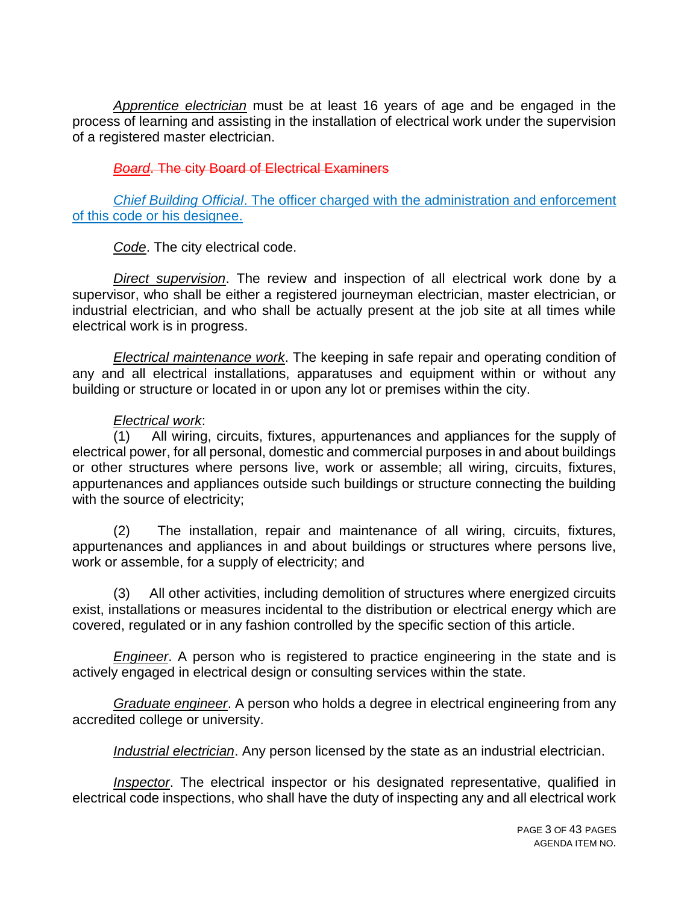*Apprentice electrician* must be at least 16 years of age and be engaged in the process of learning and assisting in the installation of electrical work under the supervision of a registered master electrician.

### **Board.** The city Board of Electrical Examiners

*Chief Building Official*. The officer charged with the administration and enforcement of this code or his designee.

*Code*. The city electrical code.

*Direct supervision*. The review and inspection of all electrical work done by a supervisor, who shall be either a registered journeyman electrician, master electrician, or industrial electrician, and who shall be actually present at the job site at all times while electrical work is in progress.

*Electrical maintenance work*. The keeping in safe repair and operating condition of any and all electrical installations, apparatuses and equipment within or without any building or structure or located in or upon any lot or premises within the city.

#### *Electrical work*:

All wiring, circuits, fixtures, appurtenances and appliances for the supply of electrical power, for all personal, domestic and commercial purposes in and about buildings or other structures where persons live, work or assemble; all wiring, circuits, fixtures, appurtenances and appliances outside such buildings or structure connecting the building with the source of electricity;

(2) The installation, repair and maintenance of all wiring, circuits, fixtures, appurtenances and appliances in and about buildings or structures where persons live, work or assemble, for a supply of electricity; and

(3) All other activities, including demolition of structures where energized circuits exist, installations or measures incidental to the distribution or electrical energy which are covered, regulated or in any fashion controlled by the specific section of this article.

*Engineer*. A person who is registered to practice engineering in the state and is actively engaged in electrical design or consulting services within the state.

*Graduate engineer*. A person who holds a degree in electrical engineering from any accredited college or university.

*Industrial electrician*. Any person licensed by the state as an industrial electrician.

*Inspector*. The electrical inspector or his designated representative, qualified in electrical code inspections, who shall have the duty of inspecting any and all electrical work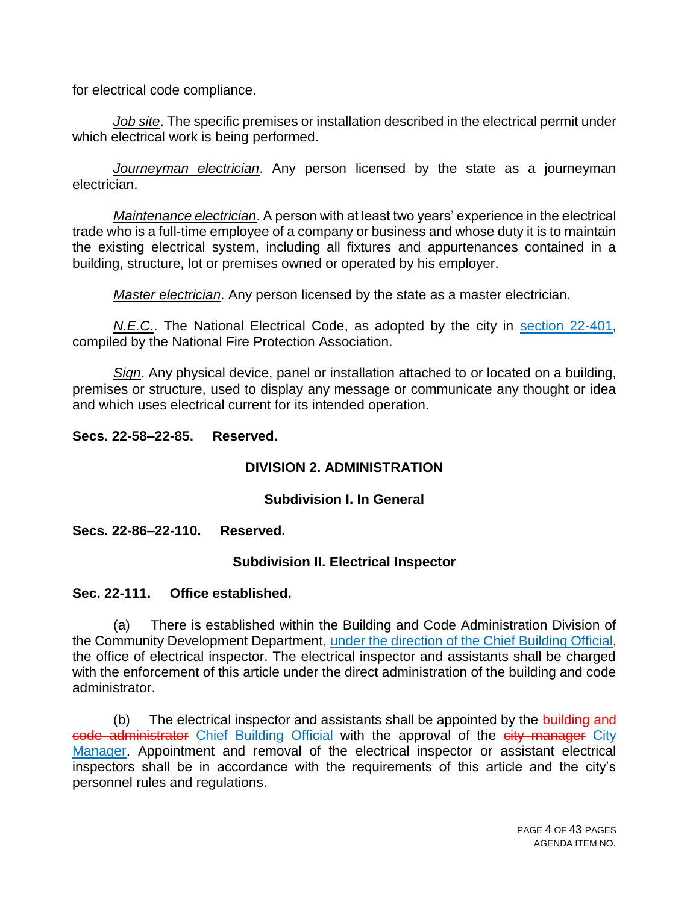for electrical code compliance.

*Job site*. The specific premises or installation described in the electrical permit under which electrical work is being performed.

*Journeyman electrician*. Any person licensed by the state as a journeyman electrician.

*Maintenance electrician*. A person with at least two years' experience in the electrical trade who is a full-time employee of a company or business and whose duty it is to maintain the existing electrical system, including all fixtures and appurtenances contained in a building, structure, lot or premises owned or operated by his employer.

*Master electrician*. Any person licensed by the state as a master electrician.

*N.E.C.*. The National Electrical Code, as adopted by the city in section 22-401, compiled by the National Fire Protection Association.

*Sign*. Any physical device, panel or installation attached to or located on a building, premises or structure, used to display any message or communicate any thought or idea and which uses electrical current for its intended operation.

#### **Secs. 22-58–22-85. Reserved.**

### **DIVISION 2. ADMINISTRATION**

#### **Subdivision I. In General**

**Secs. 22-86–22-110. Reserved.**

#### **Subdivision II. Electrical Inspector**

#### **Sec. 22-111. Office established.**

(a) There is established within the Building and Code Administration Division of the Community Development Department, under the direction of the Chief Building Official, the office of electrical inspector. The electrical inspector and assistants shall be charged with the enforcement of this article under the direct administration of the building and code administrator.

(b) The electrical inspector and assistants shall be appointed by the building and code administrator Chief Building Official with the approval of the city manager City Manager. Appointment and removal of the electrical inspector or assistant electrical inspectors shall be in accordance with the requirements of this article and the city's personnel rules and regulations.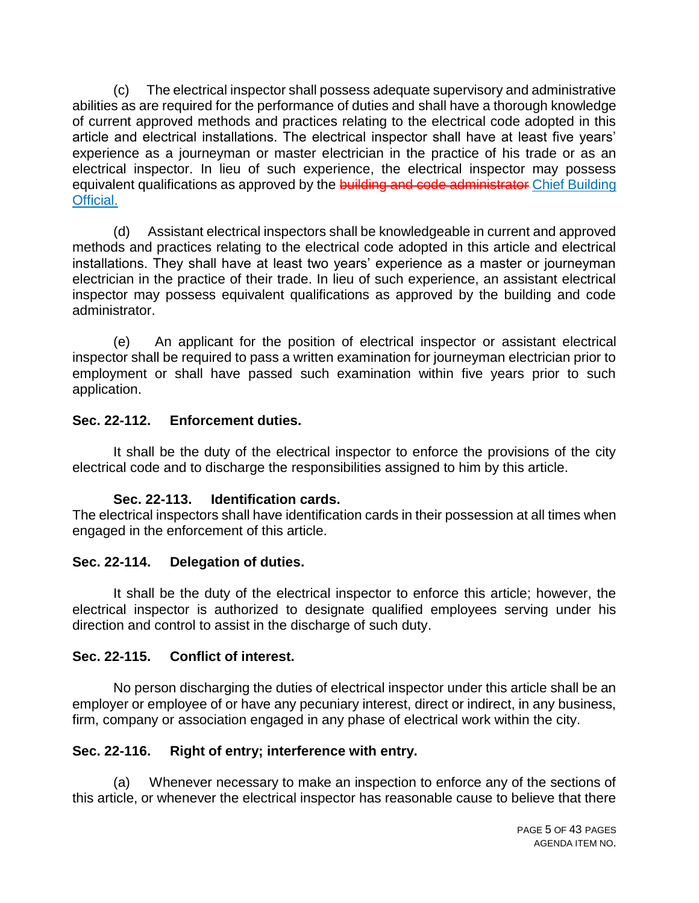(c) The electrical inspector shall possess adequate supervisory and administrative abilities as are required for the performance of duties and shall have a thorough knowledge of current approved methods and practices relating to the electrical code adopted in this article and electrical installations. The electrical inspector shall have at least five years' experience as a journeyman or master electrician in the practice of his trade or as an electrical inspector. In lieu of such experience, the electrical inspector may possess equivalent qualifications as approved by the building and code administrator Chief Building Official.

(d) Assistant electrical inspectors shall be knowledgeable in current and approved methods and practices relating to the electrical code adopted in this article and electrical installations. They shall have at least two years' experience as a master or journeyman electrician in the practice of their trade. In lieu of such experience, an assistant electrical inspector may possess equivalent qualifications as approved by the building and code administrator.

(e) An applicant for the position of electrical inspector or assistant electrical inspector shall be required to pass a written examination for journeyman electrician prior to employment or shall have passed such examination within five years prior to such application.

### **Sec. 22-112. Enforcement duties.**

It shall be the duty of the electrical inspector to enforce the provisions of the city electrical code and to discharge the responsibilities assigned to him by this article.

### **Sec. 22-113. Identification cards.**

The electrical inspectors shall have identification cards in their possession at all times when engaged in the enforcement of this article.

### **Sec. 22-114. Delegation of duties.**

It shall be the duty of the electrical inspector to enforce this article; however, the electrical inspector is authorized to designate qualified employees serving under his direction and control to assist in the discharge of such duty.

### **Sec. 22-115. Conflict of interest.**

No person discharging the duties of electrical inspector under this article shall be an employer or employee of or have any pecuniary interest, direct or indirect, in any business, firm, company or association engaged in any phase of electrical work within the city.

### **Sec. 22-116. Right of entry; interference with entry.**

(a) Whenever necessary to make an inspection to enforce any of the sections of this article, or whenever the electrical inspector has reasonable cause to believe that there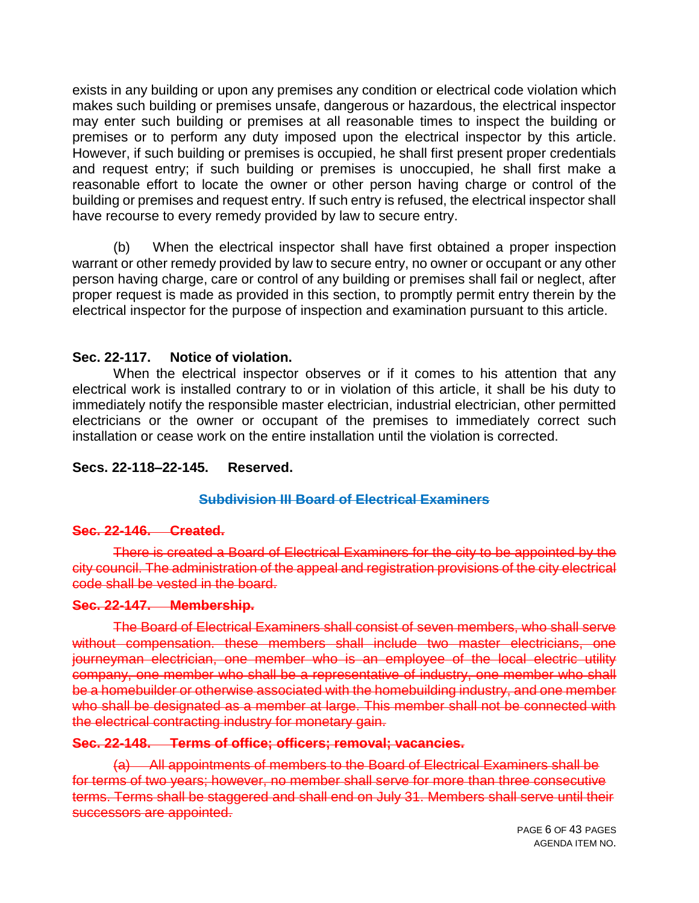exists in any building or upon any premises any condition or electrical code violation which makes such building or premises unsafe, dangerous or hazardous, the electrical inspector may enter such building or premises at all reasonable times to inspect the building or premises or to perform any duty imposed upon the electrical inspector by this article. However, if such building or premises is occupied, he shall first present proper credentials and request entry; if such building or premises is unoccupied, he shall first make a reasonable effort to locate the owner or other person having charge or control of the building or premises and request entry. If such entry is refused, the electrical inspector shall have recourse to every remedy provided by law to secure entry.

(b) When the electrical inspector shall have first obtained a proper inspection warrant or other remedy provided by law to secure entry, no owner or occupant or any other person having charge, care or control of any building or premises shall fail or neglect, after proper request is made as provided in this section, to promptly permit entry therein by the electrical inspector for the purpose of inspection and examination pursuant to this article.

#### **Sec. 22-117. Notice of violation.**

When the electrical inspector observes or if it comes to his attention that any electrical work is installed contrary to or in violation of this article, it shall be his duty to immediately notify the responsible master electrician, industrial electrician, other permitted electricians or the owner or occupant of the premises to immediately correct such installation or cease work on the entire installation until the violation is corrected.

### **Secs. 22-118–22-145. Reserved.**

#### **Subdivision III Board of Electrical Examiners**

#### **Sec. 22-146. Created.**

There is created a Board of Electrical Examiners for the city to be appointed by the city council. The administration of the appeal and registration provisions of the city electrical code shall be vested in the board.

#### **Sec. 22-147. Membership.**

The Board of Electrical Examiners shall consist of seven members, who shall serve without compensation. these members shall include two master electricians, one journeyman electrician, one member who is an employee of the local electric utility company, one member who shall be a representative of industry, one member who shall be a homebuilder or otherwise associated with the homebuilding industry, and one member who shall be designated as a member at large. This member shall not be connected with the electrical contracting industry for monetary gain.

#### **Sec. 22-148. Terms of office; officers; removal; vacancies.**

(a) All appointments of members to the Board of Electrical Examiners shall be for terms of two years; however, no member shall serve for more than three consecutive terms. Terms shall be staggered and shall end on July 31. Members shall serve until their successors are appointed.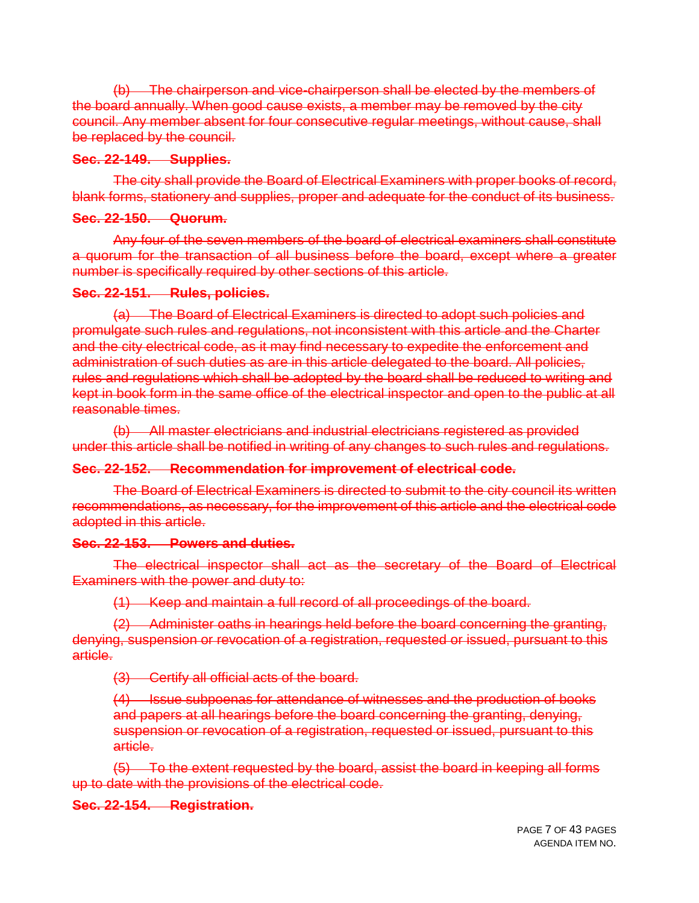(b) The chairperson and vice-chairperson shall be elected by the members of the board annually. When good cause exists, a member may be removed by the city council. Any member absent for four consecutive regular meetings, without cause, shall be replaced by the council.

#### **Sec. 22-149. Supplies.**

The city shall provide the Board of Electrical Examiners with proper books of record, blank forms, stationery and supplies, proper and adequate for the conduct of its business.

#### **Sec. 22-150. Quorum.**

Any four of the seven members of the board of electrical examiners shall constitute a quorum for the transaction of all business before the board, except where a greater number is specifically required by other sections of this article.

#### **Sec. 22-151. Rules, policies.**

(a) The Board of Electrical Examiners is directed to adopt such policies and promulgate such rules and regulations, not inconsistent with this article and the Charter and the city electrical code, as it may find necessary to expedite the enforcement and administration of such duties as are in this article delegated to the board. All policies, rules and regulations which shall be adopted by the board shall be reduced to writing and kept in book form in the same office of the electrical inspector and open to the public at all reasonable times.

(b) All master electricians and industrial electricians registered as provided under this article shall be notified in writing of any changes to such rules and regulations.

### **Sec. 22-152. Recommendation for improvement of electrical code.**

The Board of Electrical Examiners is directed to submit to the city council its written recommendations, as necessary, for the improvement of this article and the electrical code adopted in this article.

#### **Sec. 22-153. Powers and duties.**

The electrical inspector shall act as the secretary of the Board of Electrical Examiners with the power and duty to:

(1) Keep and maintain a full record of all proceedings of the board.

(2) Administer oaths in hearings held before the board concerning the granting, denying, suspension or revocation of a registration, requested or issued, pursuant to this article.

(3) Certify all official acts of the board.

(4) Issue subpoenas for attendance of witnesses and the production of books and papers at all hearings before the board concerning the granting, denying, suspension or revocation of a registration, requested or issued, pursuant to this article.

(5) To the extent requested by the board, assist the board in keeping all forms up to date with the provisions of the electrical code.

### **Sec. 22-154. Registration.**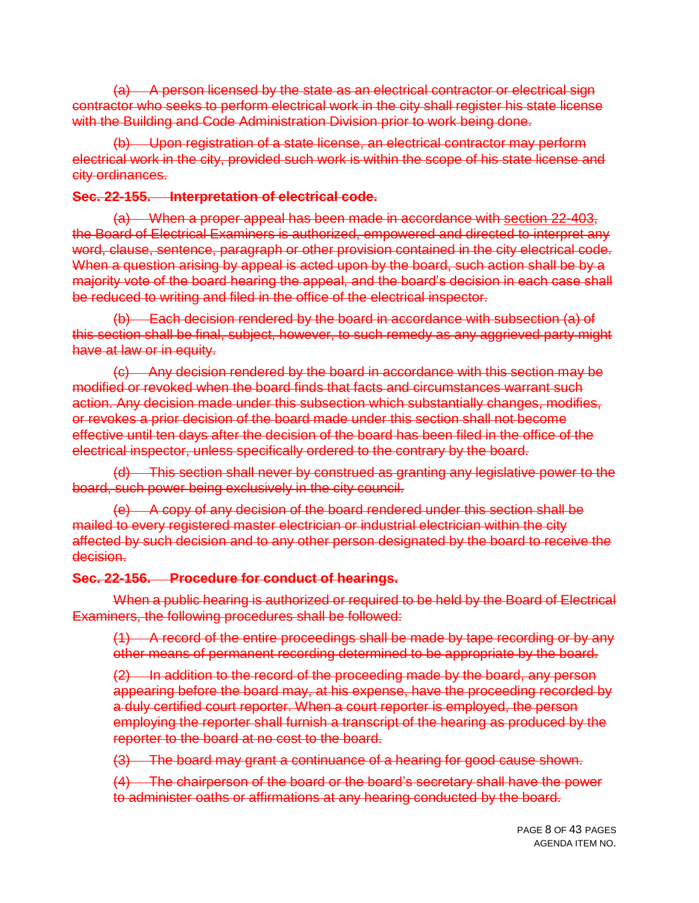(a) A person licensed by the state as an electrical contractor or electrical sign contractor who seeks to perform electrical work in the city shall register his state license with the Building and Code Administration Division prior to work being done.

(b) Upon registration of a state license, an electrical contractor may perform electrical work in the city, provided such work is within the scope of his state license and city ordinances.

#### **Sec. 22-155. Interpretation of electrical code.**

(a) When a proper appeal has been made in accordance with section 22-403, the Board of Electrical Examiners is authorized, empowered and directed to interpret any word, clause, sentence, paragraph or other provision contained in the city electrical code. When a question arising by appeal is acted upon by the board, such action shall be by a majority vote of the board hearing the appeal, and the board's decision in each case shall be reduced to writing and filed in the office of the electrical inspector.

(b) Each decision rendered by the board in accordance with subsection (a) of this section shall be final, subject, however, to such remedy as any aggrieved party might have at law or in equity.

(c) Any decision rendered by the board in accordance with this section may be modified or revoked when the board finds that facts and circumstances warrant such action. Any decision made under this subsection which substantially changes, modifies, or revokes a prior decision of the board made under this section shall not become effective until ten days after the decision of the board has been filed in the office of the electrical inspector, unless specifically ordered to the contrary by the board.

(d) This section shall never by construed as granting any legislative power to the board, such power being exclusively in the city council.

(e) A copy of any decision of the board rendered under this section shall be mailed to every registered master electrician or industrial electrician within the city affected by such decision and to any other person designated by the board to receive the decision.

#### **Sec. 22-156. Procedure for conduct of hearings.**

When a public hearing is authorized or required to be held by the Board of Electrical Examiners, the following procedures shall be followed:

(1) A record of the entire proceedings shall be made by tape recording or by any other means of permanent recording determined to be appropriate by the board.

(2) In addition to the record of the proceeding made by the board, any person appearing before the board may, at his expense, have the proceeding recorded by a duly certified court reporter. When a court reporter is employed, the person employing the reporter shall furnish a transcript of the hearing as produced by the reporter to the board at no cost to the board.

(3) The board may grant a continuance of a hearing for good cause shown.

(4) The chairperson of the board or the board's secretary shall have the power to administer oaths or affirmations at any hearing conducted by the board.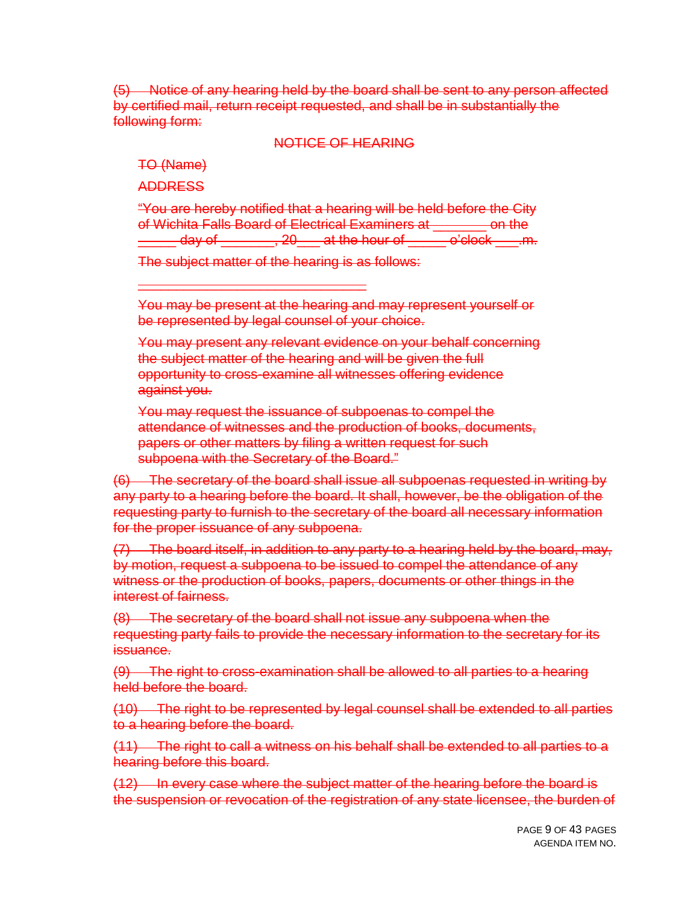(5) Notice of any hearing held by the board shall be sent to any person affected by certified mail, return receipt requested, and shall be in substantially the following form:

#### NOTICE OF HEARING

TO (Name)

ADDRESS

"You are hereby notified that a hearing will be held before the City of Wichita Falls Board of Electrical Examiners at \_\_\_\_\_\_\_ on the  $\frac{1}{2}$  day of  $\frac{1}{2}$  at the hour of  $\frac{1}{2}$  o'clock  $\frac{1}{2}$  m.

The subject matter of the hearing is as follows:

\_\_\_\_\_\_\_\_\_\_\_\_\_\_\_\_\_\_\_\_\_\_\_\_\_\_\_\_\_\_

You may be present at the hearing and may represent yourself or be represented by legal counsel of your choice.

You may present any relevant evidence on your behalf concerning the subject matter of the hearing and will be given the full opportunity to cross-examine all witnesses offering evidence against you.

You may request the issuance of subpoenas to compel the attendance of witnesses and the production of books, documents, papers or other matters by filing a written request for such subpoena with the Secretary of the Board."

(6) The secretary of the board shall issue all subpoenas requested in writing by any party to a hearing before the board. It shall, however, be the obligation of the requesting party to furnish to the secretary of the board all necessary information for the proper issuance of any subpoena.

(7) The board itself, in addition to any party to a hearing held by the board, may, by motion, request a subpoena to be issued to compel the attendance of any witness or the production of books, papers, documents or other things in the interest of fairness.

(8) The secretary of the board shall not issue any subpoena when the requesting party fails to provide the necessary information to the secretary for its issuance.

(9) The right to cross-examination shall be allowed to all parties to a hearing held before the board.

(10) The right to be represented by legal counsel shall be extended to all parties to a hearing before the board.

(11) The right to call a witness on his behalf shall be extended to all parties to a hearing before this board.

(12) In every case where the subject matter of the hearing before the board is the suspension or revocation of the registration of any state licensee, the burden of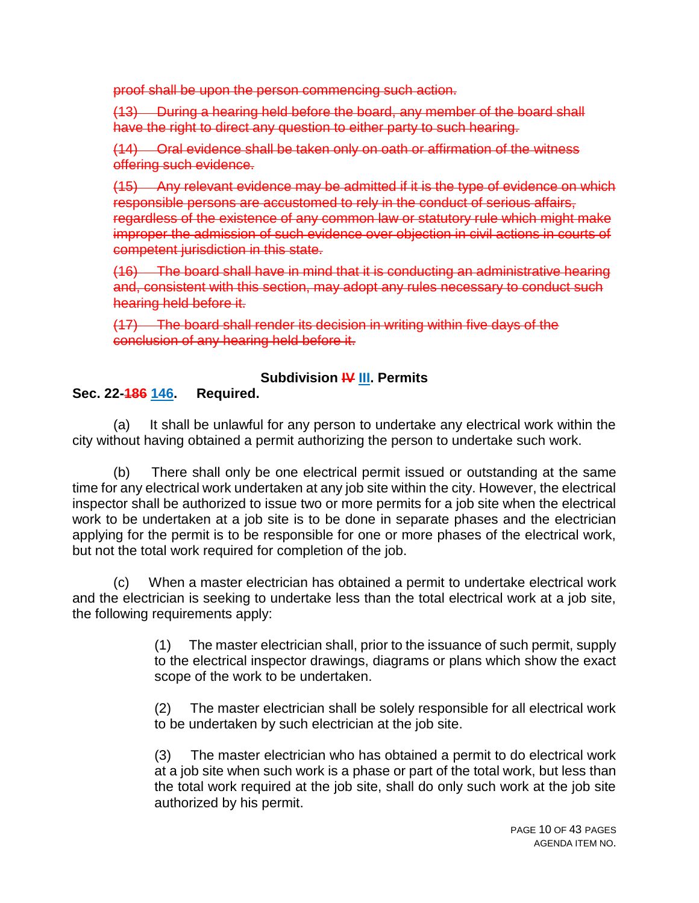proof shall be upon the person commencing such action.

(13) During a hearing held before the board, any member of the board shall have the right to direct any question to either party to such hearing.

(14) Oral evidence shall be taken only on oath or affirmation of the witness offering such evidence.

(15) Any relevant evidence may be admitted if it is the type of evidence on which responsible persons are accustomed to rely in the conduct of serious affairs, regardless of the existence of any common law or statutory rule which might make improper the admission of such evidence over objection in civil actions in courts of competent jurisdiction in this state.

(16) The board shall have in mind that it is conducting an administrative hearing and, consistent with this section, may adopt any rules necessary to conduct such hearing held before it.

(17) The board shall render its decision in writing within five days of the conclusion of any hearing held before it.

## **Subdivision IV III. Permits**

## **Sec. 22-186 146. Required.**

(a) It shall be unlawful for any person to undertake any electrical work within the city without having obtained a permit authorizing the person to undertake such work.

(b) There shall only be one electrical permit issued or outstanding at the same time for any electrical work undertaken at any job site within the city. However, the electrical inspector shall be authorized to issue two or more permits for a job site when the electrical work to be undertaken at a job site is to be done in separate phases and the electrician applying for the permit is to be responsible for one or more phases of the electrical work, but not the total work required for completion of the job.

(c) When a master electrician has obtained a permit to undertake electrical work and the electrician is seeking to undertake less than the total electrical work at a job site, the following requirements apply:

> (1) The master electrician shall, prior to the issuance of such permit, supply to the electrical inspector drawings, diagrams or plans which show the exact scope of the work to be undertaken.

> (2) The master electrician shall be solely responsible for all electrical work to be undertaken by such electrician at the job site.

> (3) The master electrician who has obtained a permit to do electrical work at a job site when such work is a phase or part of the total work, but less than the total work required at the job site, shall do only such work at the job site authorized by his permit.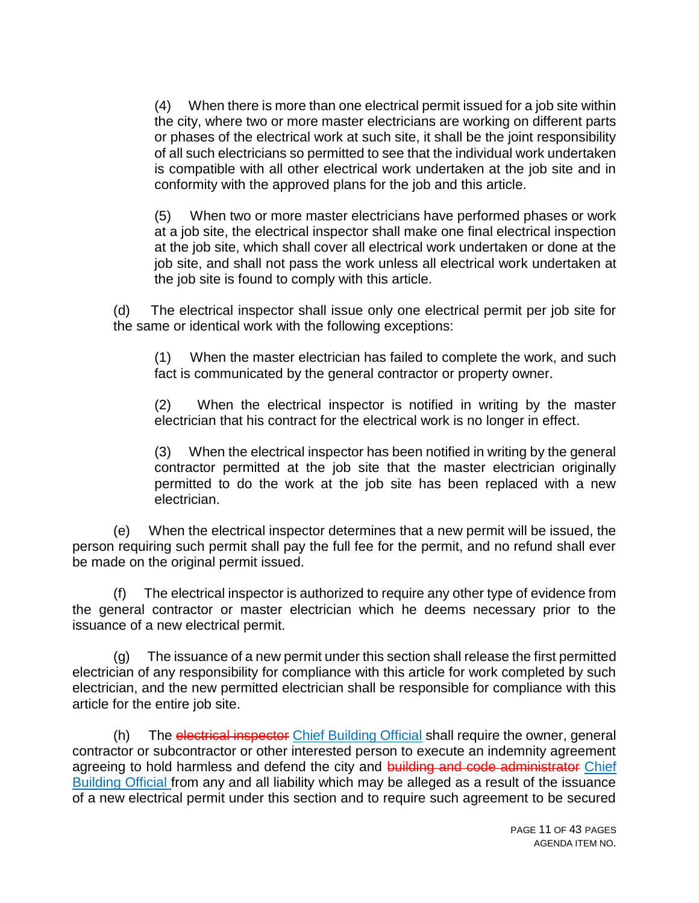(4) When there is more than one electrical permit issued for a job site within the city, where two or more master electricians are working on different parts or phases of the electrical work at such site, it shall be the joint responsibility of all such electricians so permitted to see that the individual work undertaken is compatible with all other electrical work undertaken at the job site and in conformity with the approved plans for the job and this article.

(5) When two or more master electricians have performed phases or work at a job site, the electrical inspector shall make one final electrical inspection at the job site, which shall cover all electrical work undertaken or done at the job site, and shall not pass the work unless all electrical work undertaken at the job site is found to comply with this article.

(d) The electrical inspector shall issue only one electrical permit per job site for the same or identical work with the following exceptions:

(1) When the master electrician has failed to complete the work, and such fact is communicated by the general contractor or property owner.

(2) When the electrical inspector is notified in writing by the master electrician that his contract for the electrical work is no longer in effect.

(3) When the electrical inspector has been notified in writing by the general contractor permitted at the job site that the master electrician originally permitted to do the work at the job site has been replaced with a new electrician.

(e) When the electrical inspector determines that a new permit will be issued, the person requiring such permit shall pay the full fee for the permit, and no refund shall ever be made on the original permit issued.

(f) The electrical inspector is authorized to require any other type of evidence from the general contractor or master electrician which he deems necessary prior to the issuance of a new electrical permit.

(g) The issuance of a new permit under this section shall release the first permitted electrician of any responsibility for compliance with this article for work completed by such electrician, and the new permitted electrician shall be responsible for compliance with this article for the entire job site.

(h) The electrical inspector Chief Building Official shall require the owner, general contractor or subcontractor or other interested person to execute an indemnity agreement agreeing to hold harmless and defend the city and building and code administrator Chief Building Official from any and all liability which may be alleged as a result of the issuance of a new electrical permit under this section and to require such agreement to be secured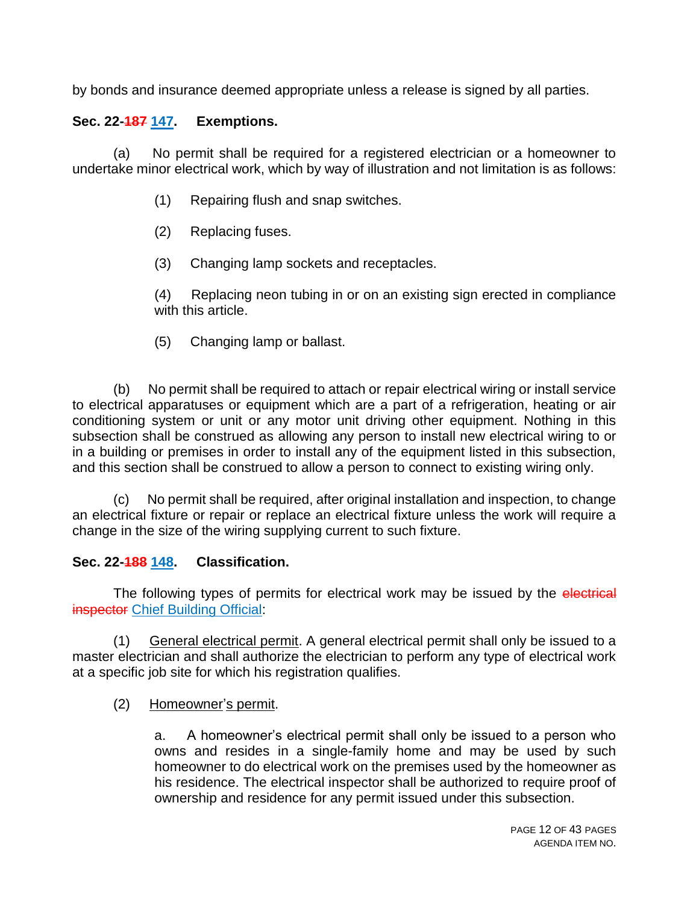by bonds and insurance deemed appropriate unless a release is signed by all parties.

## **Sec. 22-187 147. Exemptions.**

(a) No permit shall be required for a registered electrician or a homeowner to undertake minor electrical work, which by way of illustration and not limitation is as follows:

- (1) Repairing flush and snap switches.
- (2) Replacing fuses.
- (3) Changing lamp sockets and receptacles.
- (4) Replacing neon tubing in or on an existing sign erected in compliance with this article.
- (5) Changing lamp or ballast.

(b) No permit shall be required to attach or repair electrical wiring or install service to electrical apparatuses or equipment which are a part of a refrigeration, heating or air conditioning system or unit or any motor unit driving other equipment. Nothing in this subsection shall be construed as allowing any person to install new electrical wiring to or in a building or premises in order to install any of the equipment listed in this subsection, and this section shall be construed to allow a person to connect to existing wiring only.

No permit shall be required, after original installation and inspection, to change an electrical fixture or repair or replace an electrical fixture unless the work will require a change in the size of the wiring supplying current to such fixture.

### **Sec. 22-188 148. Classification.**

The following types of permits for electrical work may be issued by the electrical **inspector Chief Building Official:** 

(1) General electrical permit. A general electrical permit shall only be issued to a master electrician and shall authorize the electrician to perform any type of electrical work at a specific job site for which his registration qualifies.

(2) Homeowner's permit.

a. A homeowner's electrical permit shall only be issued to a person who owns and resides in a single-family home and may be used by such homeowner to do electrical work on the premises used by the homeowner as his residence. The electrical inspector shall be authorized to require proof of ownership and residence for any permit issued under this subsection.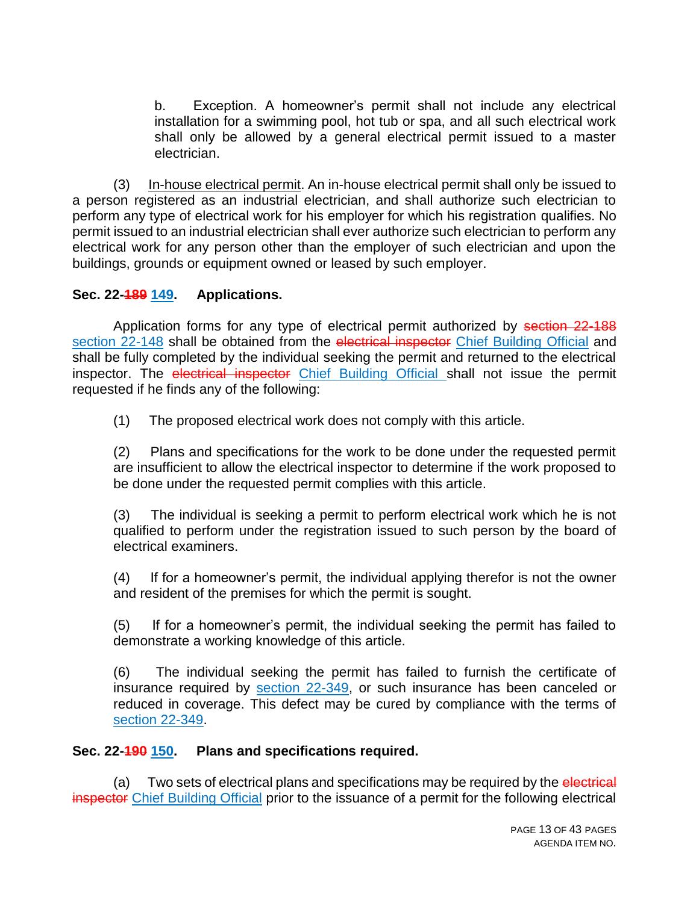b. Exception. A homeowner's permit shall not include any electrical installation for a swimming pool, hot tub or spa, and all such electrical work shall only be allowed by a general electrical permit issued to a master electrician.

(3) In-house electrical permit. An in-house electrical permit shall only be issued to a person registered as an industrial electrician, and shall authorize such electrician to perform any type of electrical work for his employer for which his registration qualifies. No permit issued to an industrial electrician shall ever authorize such electrician to perform any electrical work for any person other than the employer of such electrician and upon the buildings, grounds or equipment owned or leased by such employer.

### **Sec. 22-189 149. Applications.**

Application forms for any type of electrical permit authorized by section 22-188 section 22-148 shall be obtained from the electrical inspector Chief Building Official and shall be fully completed by the individual seeking the permit and returned to the electrical inspector. The electrical inspector Chief Building Official shall not issue the permit requested if he finds any of the following:

(1) The proposed electrical work does not comply with this article.

(2) Plans and specifications for the work to be done under the requested permit are insufficient to allow the electrical inspector to determine if the work proposed to be done under the requested permit complies with this article.

(3) The individual is seeking a permit to perform electrical work which he is not qualified to perform under the registration issued to such person by the board of electrical examiners.

(4) If for a homeowner's permit, the individual applying therefor is not the owner and resident of the premises for which the permit is sought.

(5) If for a homeowner's permit, the individual seeking the permit has failed to demonstrate a working knowledge of this article.

(6) The individual seeking the permit has failed to furnish the certificate of insurance required by section 22-349, or such insurance has been canceled or reduced in coverage. This defect may be cured by compliance with the terms of section 22-349.

#### **Sec. 22-190 150. Plans and specifications required.**

(a) Two sets of electrical plans and specifications may be required by the electrical inspector Chief Building Official prior to the issuance of a permit for the following electrical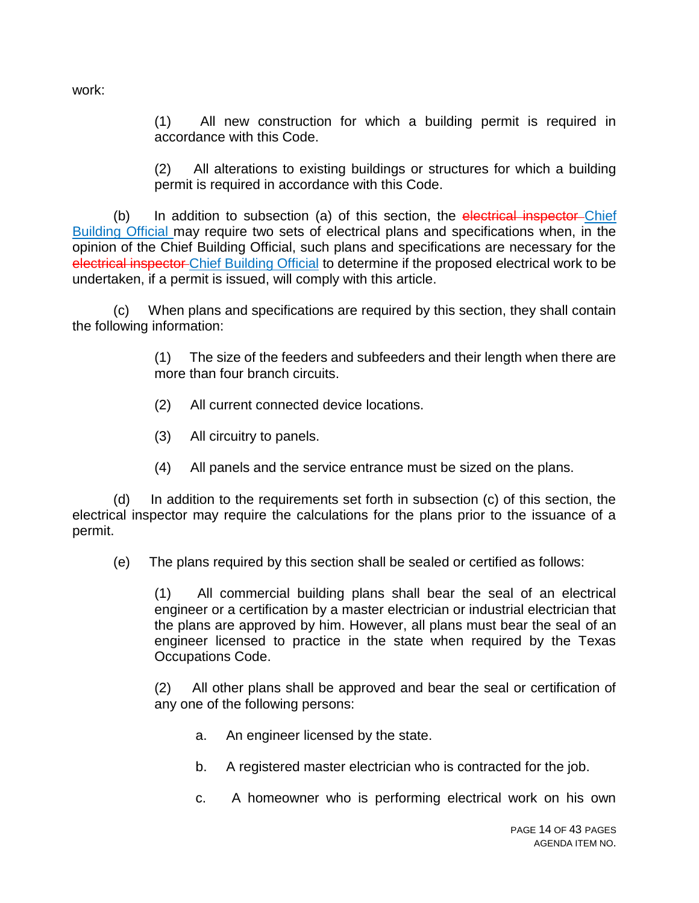work:

(1) All new construction for which a building permit is required in accordance with this Code.

(2) All alterations to existing buildings or structures for which a building permit is required in accordance with this Code.

(b) In addition to subsection (a) of this section, the electrical inspector Chief Building Official may require two sets of electrical plans and specifications when, in the opinion of the Chief Building Official, such plans and specifications are necessary for the electrical inspector Chief Building Official to determine if the proposed electrical work to be undertaken, if a permit is issued, will comply with this article.

(c) When plans and specifications are required by this section, they shall contain the following information:

> (1) The size of the feeders and subfeeders and their length when there are more than four branch circuits.

- (2) All current connected device locations.
- (3) All circuitry to panels.
- (4) All panels and the service entrance must be sized on the plans.

(d) In addition to the requirements set forth in subsection (c) of this section, the electrical inspector may require the calculations for the plans prior to the issuance of a permit.

(e) The plans required by this section shall be sealed or certified as follows:

(1) All commercial building plans shall bear the seal of an electrical engineer or a certification by a master electrician or industrial electrician that the plans are approved by him. However, all plans must bear the seal of an engineer licensed to practice in the state when required by the Texas Occupations Code.

(2) All other plans shall be approved and bear the seal or certification of any one of the following persons:

- a. An engineer licensed by the state.
- b. A registered master electrician who is contracted for the job.
- c. A homeowner who is performing electrical work on his own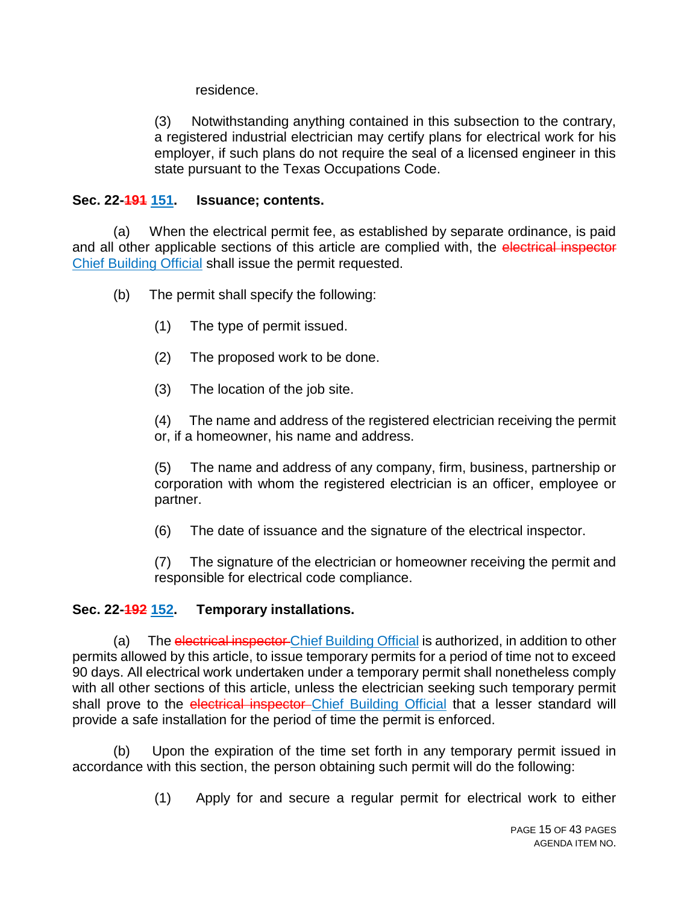residence.

(3) Notwithstanding anything contained in this subsection to the contrary, a registered industrial electrician may certify plans for electrical work for his employer, if such plans do not require the seal of a licensed engineer in this state pursuant to the Texas Occupations Code.

### **Sec. 22-191 151. Issuance; contents.**

(a) When the electrical permit fee, as established by separate ordinance, is paid and all other applicable sections of this article are complied with, the electrical inspector Chief Building Official shall issue the permit requested.

- (b) The permit shall specify the following:
	- (1) The type of permit issued.
	- (2) The proposed work to be done.
	- (3) The location of the job site.

(4) The name and address of the registered electrician receiving the permit or, if a homeowner, his name and address.

(5) The name and address of any company, firm, business, partnership or corporation with whom the registered electrician is an officer, employee or partner.

(6) The date of issuance and the signature of the electrical inspector.

(7) The signature of the electrician or homeowner receiving the permit and responsible for electrical code compliance.

### **Sec. 22-192 152. Temporary installations.**

(a) The electrical inspector Chief Building Official is authorized, in addition to other permits allowed by this article, to issue temporary permits for a period of time not to exceed 90 days. All electrical work undertaken under a temporary permit shall nonetheless comply with all other sections of this article, unless the electrician seeking such temporary permit shall prove to the electrical inspector Chief Building Official that a lesser standard will provide a safe installation for the period of time the permit is enforced.

(b) Upon the expiration of the time set forth in any temporary permit issued in accordance with this section, the person obtaining such permit will do the following:

(1) Apply for and secure a regular permit for electrical work to either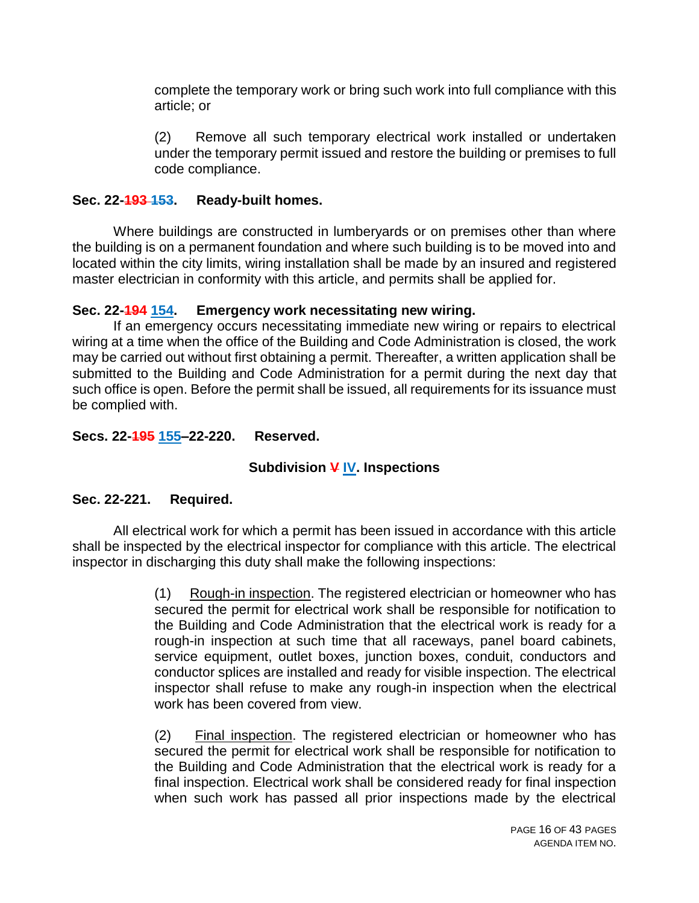complete the temporary work or bring such work into full compliance with this article; or

(2) Remove all such temporary electrical work installed or undertaken under the temporary permit issued and restore the building or premises to full code compliance.

### **Sec. 22-193 153. Ready-built homes.**

Where buildings are constructed in lumberyards or on premises other than where the building is on a permanent foundation and where such building is to be moved into and located within the city limits, wiring installation shall be made by an insured and registered master electrician in conformity with this article, and permits shall be applied for.

## **Sec. 22-194 154. Emergency work necessitating new wiring.**

If an emergency occurs necessitating immediate new wiring or repairs to electrical wiring at a time when the office of the Building and Code Administration is closed, the work may be carried out without first obtaining a permit. Thereafter, a written application shall be submitted to the Building and Code Administration for a permit during the next day that such office is open. Before the permit shall be issued, all requirements for its issuance must be complied with.

## **Secs. 22-195 155–22-220. Reserved.**

# **Subdivision V IV. Inspections**

# **Sec. 22-221. Required.**

All electrical work for which a permit has been issued in accordance with this article shall be inspected by the electrical inspector for compliance with this article. The electrical inspector in discharging this duty shall make the following inspections:

> (1) Rough-in inspection. The registered electrician or homeowner who has secured the permit for electrical work shall be responsible for notification to the Building and Code Administration that the electrical work is ready for a rough-in inspection at such time that all raceways, panel board cabinets, service equipment, outlet boxes, junction boxes, conduit, conductors and conductor splices are installed and ready for visible inspection. The electrical inspector shall refuse to make any rough-in inspection when the electrical work has been covered from view.

> (2) Final inspection. The registered electrician or homeowner who has secured the permit for electrical work shall be responsible for notification to the Building and Code Administration that the electrical work is ready for a final inspection. Electrical work shall be considered ready for final inspection when such work has passed all prior inspections made by the electrical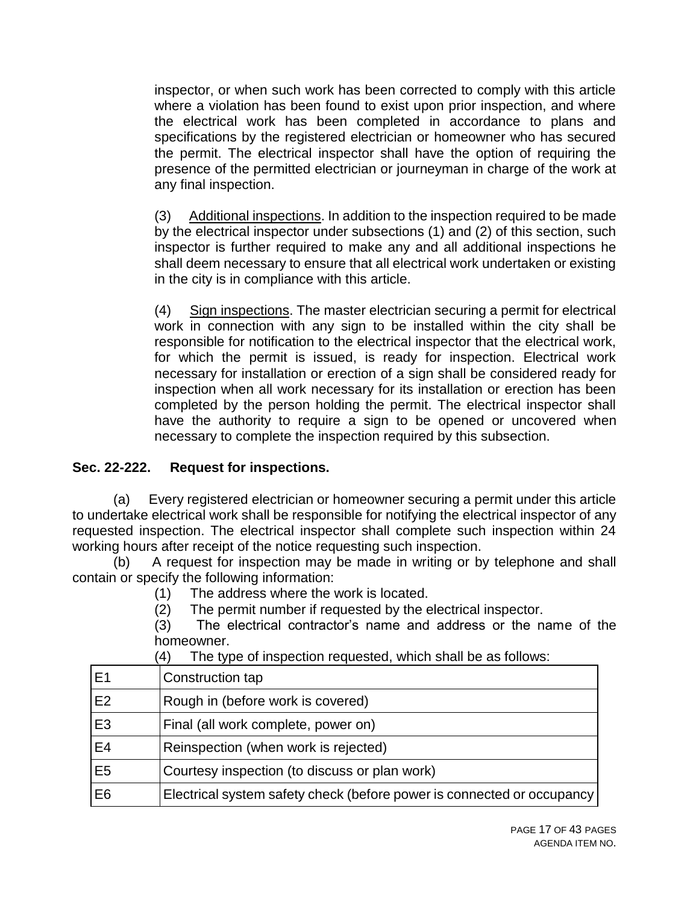inspector, or when such work has been corrected to comply with this article where a violation has been found to exist upon prior inspection, and where the electrical work has been completed in accordance to plans and specifications by the registered electrician or homeowner who has secured the permit. The electrical inspector shall have the option of requiring the presence of the permitted electrician or journeyman in charge of the work at any final inspection.

(3) Additional inspections. In addition to the inspection required to be made by the electrical inspector under subsections (1) and (2) of this section, such inspector is further required to make any and all additional inspections he shall deem necessary to ensure that all electrical work undertaken or existing in the city is in compliance with this article.

(4) Sign inspections. The master electrician securing a permit for electrical work in connection with any sign to be installed within the city shall be responsible for notification to the electrical inspector that the electrical work, for which the permit is issued, is ready for inspection. Electrical work necessary for installation or erection of a sign shall be considered ready for inspection when all work necessary for its installation or erection has been completed by the person holding the permit. The electrical inspector shall have the authority to require a sign to be opened or uncovered when necessary to complete the inspection required by this subsection.

### **Sec. 22-222. Request for inspections.**

(a) Every registered electrician or homeowner securing a permit under this article to undertake electrical work shall be responsible for notifying the electrical inspector of any requested inspection. The electrical inspector shall complete such inspection within 24 working hours after receipt of the notice requesting such inspection.

(b) A request for inspection may be made in writing or by telephone and shall contain or specify the following information:

- (1) The address where the work is located.
- (2) The permit number if requested by the electrical inspector.

(3) The electrical contractor's name and address or the name of the homeowner.

| E <sub>1</sub> | Construction tap                                                       |
|----------------|------------------------------------------------------------------------|
| E <sub>2</sub> | Rough in (before work is covered)                                      |
| E <sub>3</sub> | Final (all work complete, power on)                                    |
| E4             | Reinspection (when work is rejected)                                   |
| E <sub>5</sub> | Courtesy inspection (to discuss or plan work)                          |
| E <sub>6</sub> | Electrical system safety check (before power is connected or occupancy |

(4) The type of inspection requested, which shall be as follows: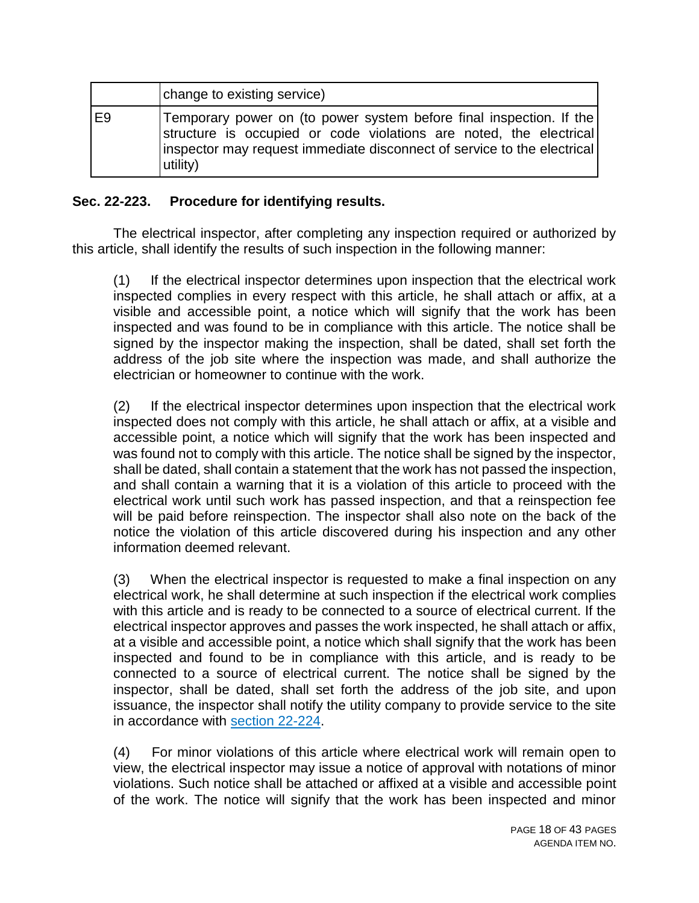|                | change to existing service)                                                                                                                                                                                                      |
|----------------|----------------------------------------------------------------------------------------------------------------------------------------------------------------------------------------------------------------------------------|
| E <sub>9</sub> | Temporary power on (to power system before final inspection. If the<br>structure is occupied or code violations are noted, the electrical<br>inspector may request immediate disconnect of service to the electrical<br>utility) |

### **Sec. 22-223. Procedure for identifying results.**

The electrical inspector, after completing any inspection required or authorized by this article, shall identify the results of such inspection in the following manner:

(1) If the electrical inspector determines upon inspection that the electrical work inspected complies in every respect with this article, he shall attach or affix, at a visible and accessible point, a notice which will signify that the work has been inspected and was found to be in compliance with this article. The notice shall be signed by the inspector making the inspection, shall be dated, shall set forth the address of the job site where the inspection was made, and shall authorize the electrician or homeowner to continue with the work.

(2) If the electrical inspector determines upon inspection that the electrical work inspected does not comply with this article, he shall attach or affix, at a visible and accessible point, a notice which will signify that the work has been inspected and was found not to comply with this article. The notice shall be signed by the inspector, shall be dated, shall contain a statement that the work has not passed the inspection, and shall contain a warning that it is a violation of this article to proceed with the electrical work until such work has passed inspection, and that a reinspection fee will be paid before reinspection. The inspector shall also note on the back of the notice the violation of this article discovered during his inspection and any other information deemed relevant.

(3) When the electrical inspector is requested to make a final inspection on any electrical work, he shall determine at such inspection if the electrical work complies with this article and is ready to be connected to a source of electrical current. If the electrical inspector approves and passes the work inspected, he shall attach or affix, at a visible and accessible point, a notice which shall signify that the work has been inspected and found to be in compliance with this article, and is ready to be connected to a source of electrical current. The notice shall be signed by the inspector, shall be dated, shall set forth the address of the job site, and upon issuance, the inspector shall notify the utility company to provide service to the site in accordance with section 22-224.

(4) For minor violations of this article where electrical work will remain open to view, the electrical inspector may issue a notice of approval with notations of minor violations. Such notice shall be attached or affixed at a visible and accessible point of the work. The notice will signify that the work has been inspected and minor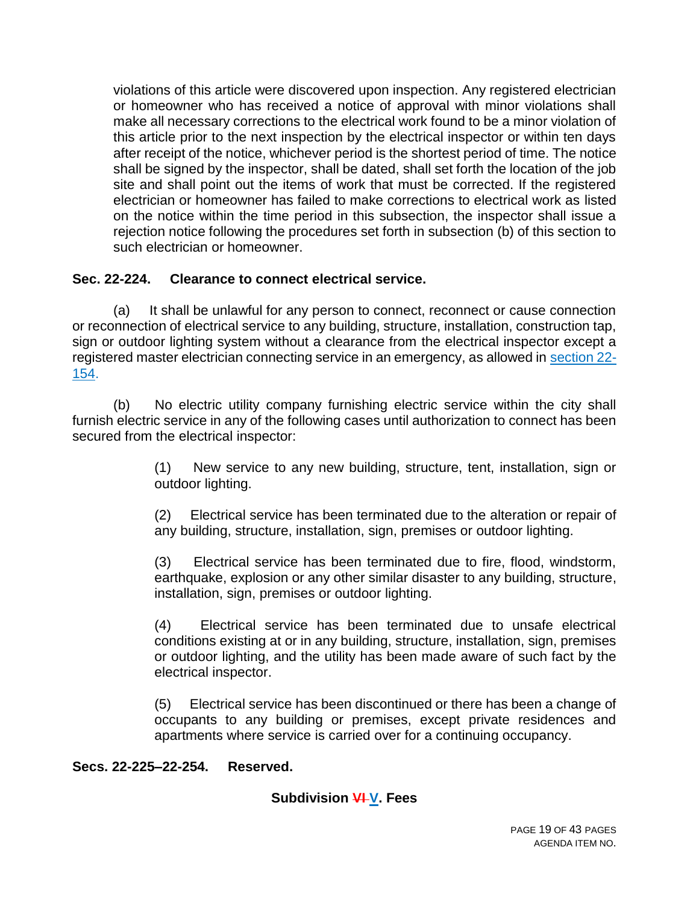violations of this article were discovered upon inspection. Any registered electrician or homeowner who has received a notice of approval with minor violations shall make all necessary corrections to the electrical work found to be a minor violation of this article prior to the next inspection by the electrical inspector or within ten days after receipt of the notice, whichever period is the shortest period of time. The notice shall be signed by the inspector, shall be dated, shall set forth the location of the job site and shall point out the items of work that must be corrected. If the registered electrician or homeowner has failed to make corrections to electrical work as listed on the notice within the time period in this subsection, the inspector shall issue a rejection notice following the procedures set forth in subsection (b) of this section to such electrician or homeowner.

### **Sec. 22-224. Clearance to connect electrical service.**

(a) It shall be unlawful for any person to connect, reconnect or cause connection or reconnection of electrical service to any building, structure, installation, construction tap, sign or outdoor lighting system without a clearance from the electrical inspector except a registered master electrician connecting service in an emergency, as allowed in section 22- 154.

(b) No electric utility company furnishing electric service within the city shall furnish electric service in any of the following cases until authorization to connect has been secured from the electrical inspector:

> (1) New service to any new building, structure, tent, installation, sign or outdoor lighting.

> (2) Electrical service has been terminated due to the alteration or repair of any building, structure, installation, sign, premises or outdoor lighting.

> (3) Electrical service has been terminated due to fire, flood, windstorm, earthquake, explosion or any other similar disaster to any building, structure, installation, sign, premises or outdoor lighting.

> (4) Electrical service has been terminated due to unsafe electrical conditions existing at or in any building, structure, installation, sign, premises or outdoor lighting, and the utility has been made aware of such fact by the electrical inspector.

> (5) Electrical service has been discontinued or there has been a change of occupants to any building or premises, except private residences and apartments where service is carried over for a continuing occupancy.

### **Secs. 22-225–22-254. Reserved.**

# **Subdivision VI V. Fees**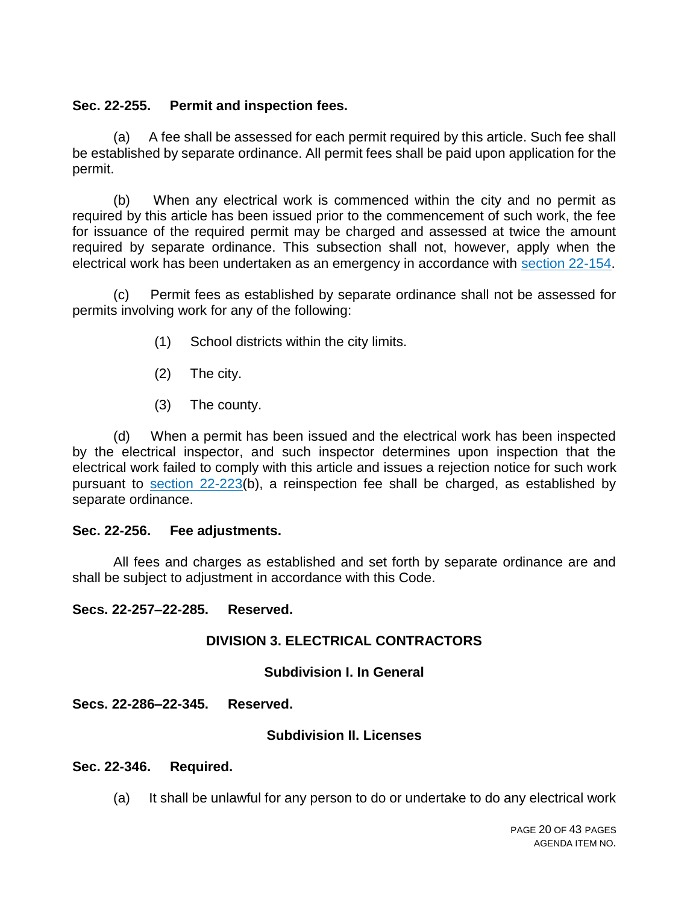#### **Sec. 22-255. Permit and inspection fees.**

(a) A fee shall be assessed for each permit required by this article. Such fee shall be established by separate ordinance. All permit fees shall be paid upon application for the permit.

(b) When any electrical work is commenced within the city and no permit as required by this article has been issued prior to the commencement of such work, the fee for issuance of the required permit may be charged and assessed at twice the amount required by separate ordinance. This subsection shall not, however, apply when the electrical work has been undertaken as an emergency in accordance with section 22-154.

(c) Permit fees as established by separate ordinance shall not be assessed for permits involving work for any of the following:

- (1) School districts within the city limits.
- (2) The city.
- (3) The county.

(d) When a permit has been issued and the electrical work has been inspected by the electrical inspector, and such inspector determines upon inspection that the electrical work failed to comply with this article and issues a rejection notice for such work pursuant to section 22-223(b), a reinspection fee shall be charged, as established by separate ordinance.

#### **Sec. 22-256. Fee adjustments.**

All fees and charges as established and set forth by separate ordinance are and shall be subject to adjustment in accordance with this Code.

#### **Secs. 22-257–22-285. Reserved.**

#### **DIVISION 3. ELECTRICAL CONTRACTORS**

#### **Subdivision I. In General**

**Secs. 22-286–22-345. Reserved.**

#### **Subdivision II. Licenses**

#### **Sec. 22-346. Required.**

(a) It shall be unlawful for any person to do or undertake to do any electrical work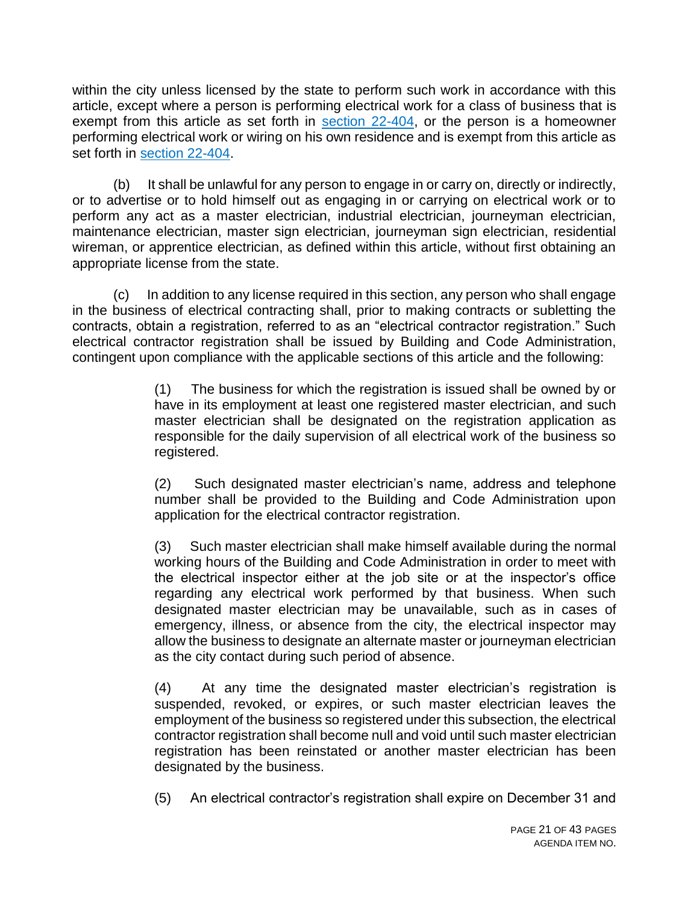within the city unless licensed by the state to perform such work in accordance with this article, except where a person is performing electrical work for a class of business that is exempt from this article as set forth in section 22-404, or the person is a homeowner performing electrical work or wiring on his own residence and is exempt from this article as set forth in section 22-404.

(b) It shall be unlawful for any person to engage in or carry on, directly or indirectly, or to advertise or to hold himself out as engaging in or carrying on electrical work or to perform any act as a master electrician, industrial electrician, journeyman electrician, maintenance electrician, master sign electrician, journeyman sign electrician, residential wireman, or apprentice electrician, as defined within this article, without first obtaining an appropriate license from the state.

(c) In addition to any license required in this section, any person who shall engage in the business of electrical contracting shall, prior to making contracts or subletting the contracts, obtain a registration, referred to as an "electrical contractor registration." Such electrical contractor registration shall be issued by Building and Code Administration, contingent upon compliance with the applicable sections of this article and the following:

> (1) The business for which the registration is issued shall be owned by or have in its employment at least one registered master electrician, and such master electrician shall be designated on the registration application as responsible for the daily supervision of all electrical work of the business so registered.

> (2) Such designated master electrician's name, address and telephone number shall be provided to the Building and Code Administration upon application for the electrical contractor registration.

> (3) Such master electrician shall make himself available during the normal working hours of the Building and Code Administration in order to meet with the electrical inspector either at the job site or at the inspector's office regarding any electrical work performed by that business. When such designated master electrician may be unavailable, such as in cases of emergency, illness, or absence from the city, the electrical inspector may allow the business to designate an alternate master or journeyman electrician as the city contact during such period of absence.

> (4) At any time the designated master electrician's registration is suspended, revoked, or expires, or such master electrician leaves the employment of the business so registered under this subsection, the electrical contractor registration shall become null and void until such master electrician registration has been reinstated or another master electrician has been designated by the business.

> (5) An electrical contractor's registration shall expire on December 31 and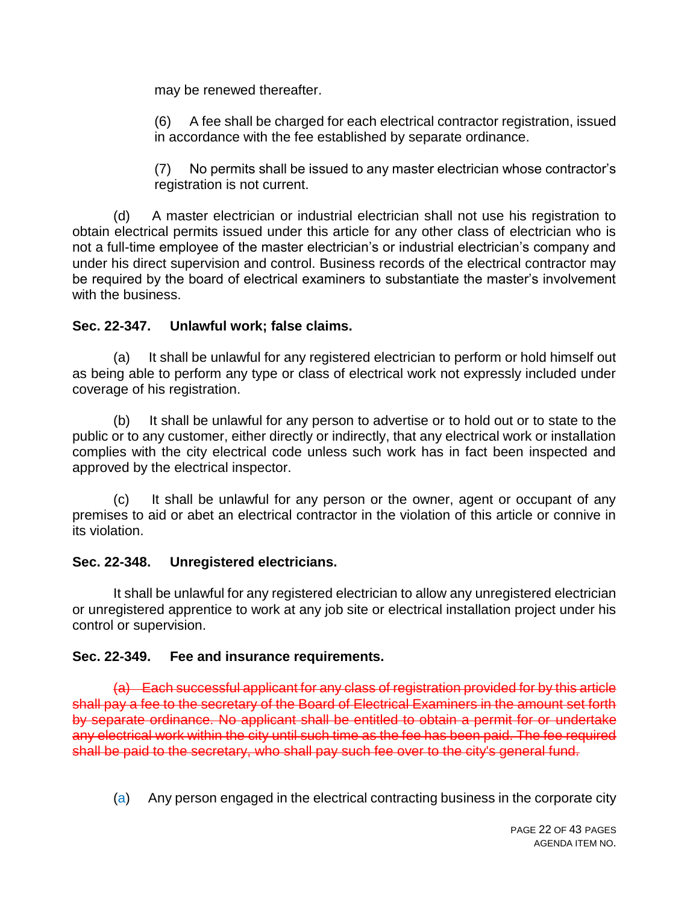may be renewed thereafter.

(6) A fee shall be charged for each electrical contractor registration, issued in accordance with the fee established by separate ordinance.

(7) No permits shall be issued to any master electrician whose contractor's registration is not current.

(d) A master electrician or industrial electrician shall not use his registration to obtain electrical permits issued under this article for any other class of electrician who is not a full-time employee of the master electrician's or industrial electrician's company and under his direct supervision and control. Business records of the electrical contractor may be required by the board of electrical examiners to substantiate the master's involvement with the business.

## **Sec. 22-347. Unlawful work; false claims.**

(a) It shall be unlawful for any registered electrician to perform or hold himself out as being able to perform any type or class of electrical work not expressly included under coverage of his registration.

(b) It shall be unlawful for any person to advertise or to hold out or to state to the public or to any customer, either directly or indirectly, that any electrical work or installation complies with the city electrical code unless such work has in fact been inspected and approved by the electrical inspector.

(c) It shall be unlawful for any person or the owner, agent or occupant of any premises to aid or abet an electrical contractor in the violation of this article or connive in its violation.

### **Sec. 22-348. Unregistered electricians.**

It shall be unlawful for any registered electrician to allow any unregistered electrician or unregistered apprentice to work at any job site or electrical installation project under his control or supervision.

### **Sec. 22-349. Fee and insurance requirements.**

(a) Each successful applicant for any class of registration provided for by this article shall pay a fee to the secretary of the Board of Electrical Examiners in the amount set forth by separate ordinance. No applicant shall be entitled to obtain a permit for or undertake any electrical work within the city until such time as the fee has been paid. The fee required shall be paid to the secretary, who shall pay such fee over to the city's general fund.

(a) Any person engaged in the electrical contracting business in the corporate city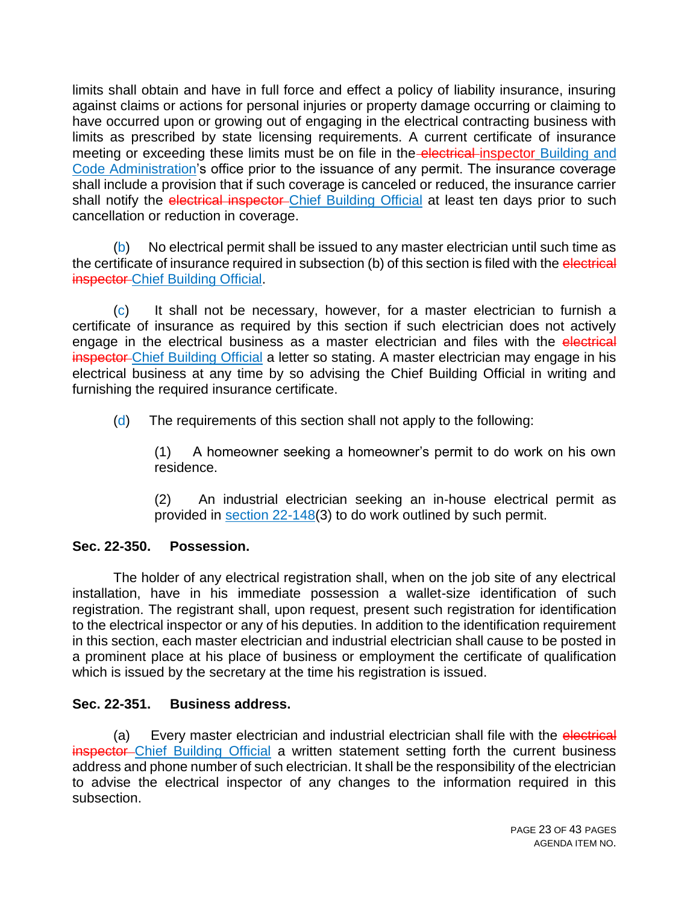limits shall obtain and have in full force and effect a policy of liability insurance, insuring against claims or actions for personal injuries or property damage occurring or claiming to have occurred upon or growing out of engaging in the electrical contracting business with limits as prescribed by state licensing requirements. A current certificate of insurance meeting or exceeding these limits must be on file in the electrical inspector Building and Code Administration's office prior to the issuance of any permit. The insurance coverage shall include a provision that if such coverage is canceled or reduced, the insurance carrier shall notify the electrical inspector-Chief Building Official at least ten days prior to such cancellation or reduction in coverage.

(b) No electrical permit shall be issued to any master electrician until such time as the certificate of insurance required in subsection (b) of this section is filed with the electrical **inspector-Chief Building Official.** 

(c) It shall not be necessary, however, for a master electrician to furnish a certificate of insurance as required by this section if such electrician does not actively engage in the electrical business as a master electrician and files with the electrical inspector Chief Building Official a letter so stating. A master electrician may engage in his electrical business at any time by so advising the Chief Building Official in writing and furnishing the required insurance certificate.

(d) The requirements of this section shall not apply to the following:

(1) A homeowner seeking a homeowner's permit to do work on his own residence.

(2) An industrial electrician seeking an in-house electrical permit as provided in section 22-148(3) to do work outlined by such permit.

### **Sec. 22-350. Possession.**

The holder of any electrical registration shall, when on the job site of any electrical installation, have in his immediate possession a wallet-size identification of such registration. The registrant shall, upon request, present such registration for identification to the electrical inspector or any of his deputies. In addition to the identification requirement in this section, each master electrician and industrial electrician shall cause to be posted in a prominent place at his place of business or employment the certificate of qualification which is issued by the secretary at the time his registration is issued.

### **Sec. 22-351. Business address.**

(a) Every master electrician and industrial electrician shall file with the electrical inspector Chief Building Official a written statement setting forth the current business address and phone number of such electrician. It shall be the responsibility of the electrician to advise the electrical inspector of any changes to the information required in this subsection.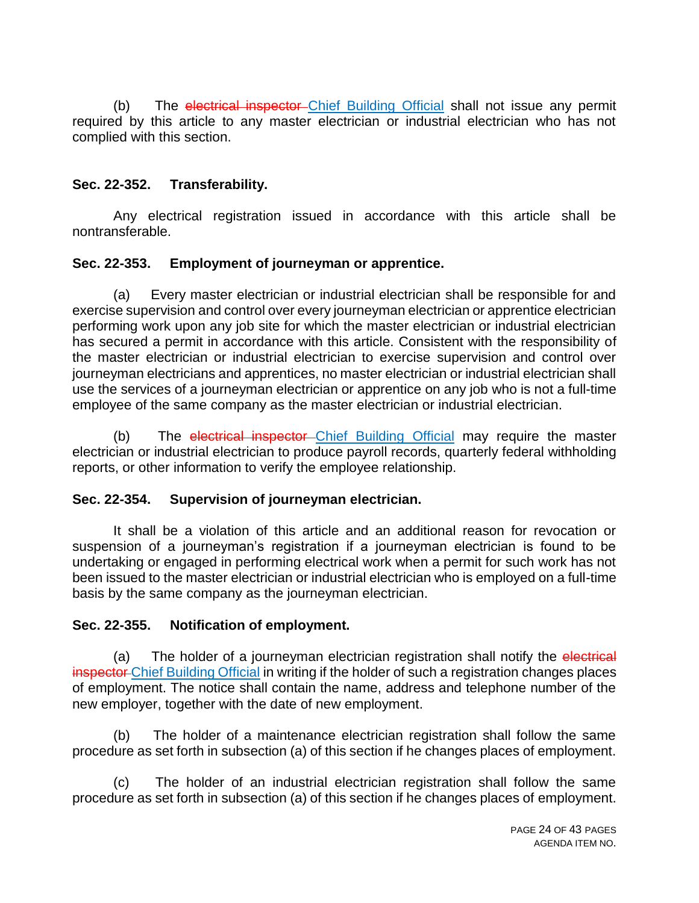(b) The electrical inspector-Chief Building Official shall not issue any permit required by this article to any master electrician or industrial electrician who has not complied with this section.

## **Sec. 22-352. Transferability.**

Any electrical registration issued in accordance with this article shall be nontransferable.

### **Sec. 22-353. Employment of journeyman or apprentice.**

(a) Every master electrician or industrial electrician shall be responsible for and exercise supervision and control over every journeyman electrician or apprentice electrician performing work upon any job site for which the master electrician or industrial electrician has secured a permit in accordance with this article. Consistent with the responsibility of the master electrician or industrial electrician to exercise supervision and control over journeyman electricians and apprentices, no master electrician or industrial electrician shall use the services of a journeyman electrician or apprentice on any job who is not a full-time employee of the same company as the master electrician or industrial electrician.

(b) The electrical inspector Chief Building Official may require the master electrician or industrial electrician to produce payroll records, quarterly federal withholding reports, or other information to verify the employee relationship.

### **Sec. 22-354. Supervision of journeyman electrician.**

It shall be a violation of this article and an additional reason for revocation or suspension of a journeyman's registration if a journeyman electrician is found to be undertaking or engaged in performing electrical work when a permit for such work has not been issued to the master electrician or industrial electrician who is employed on a full-time basis by the same company as the journeyman electrician.

### **Sec. 22-355. Notification of employment.**

(a) The holder of a journeyman electrician registration shall notify the electrical inspector Chief Building Official in writing if the holder of such a registration changes places of employment. The notice shall contain the name, address and telephone number of the new employer, together with the date of new employment.

(b) The holder of a maintenance electrician registration shall follow the same procedure as set forth in subsection (a) of this section if he changes places of employment.

(c) The holder of an industrial electrician registration shall follow the same procedure as set forth in subsection (a) of this section if he changes places of employment.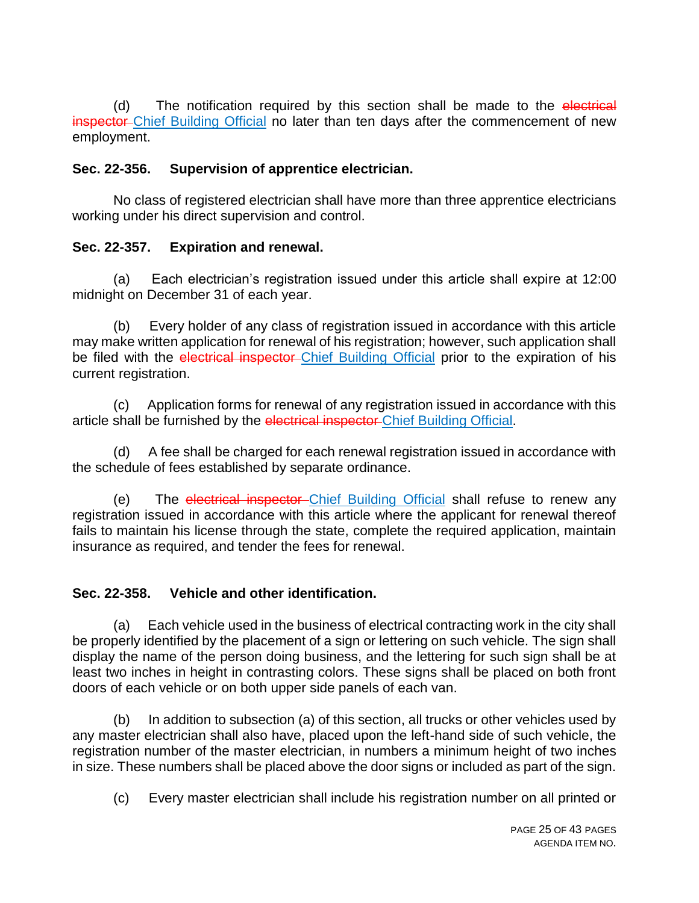(d) The notification required by this section shall be made to the electrical inspector Chief Building Official no later than ten days after the commencement of new employment.

### **Sec. 22-356. Supervision of apprentice electrician.**

No class of registered electrician shall have more than three apprentice electricians working under his direct supervision and control.

## **Sec. 22-357. Expiration and renewal.**

(a) Each electrician's registration issued under this article shall expire at 12:00 midnight on December 31 of each year.

(b) Every holder of any class of registration issued in accordance with this article may make written application for renewal of his registration; however, such application shall be filed with the electrical inspector-Chief Building Official prior to the expiration of his current registration.

(c) Application forms for renewal of any registration issued in accordance with this article shall be furnished by the electrical inspector Chief Building Official.

(d) A fee shall be charged for each renewal registration issued in accordance with the schedule of fees established by separate ordinance.

(e) The electrical inspector-Chief Building Official shall refuse to renew any registration issued in accordance with this article where the applicant for renewal thereof fails to maintain his license through the state, complete the required application, maintain insurance as required, and tender the fees for renewal.

### **Sec. 22-358. Vehicle and other identification.**

(a) Each vehicle used in the business of electrical contracting work in the city shall be properly identified by the placement of a sign or lettering on such vehicle. The sign shall display the name of the person doing business, and the lettering for such sign shall be at least two inches in height in contrasting colors. These signs shall be placed on both front doors of each vehicle or on both upper side panels of each van.

(b) In addition to subsection (a) of this section, all trucks or other vehicles used by any master electrician shall also have, placed upon the left-hand side of such vehicle, the registration number of the master electrician, in numbers a minimum height of two inches in size. These numbers shall be placed above the door signs or included as part of the sign.

(c) Every master electrician shall include his registration number on all printed or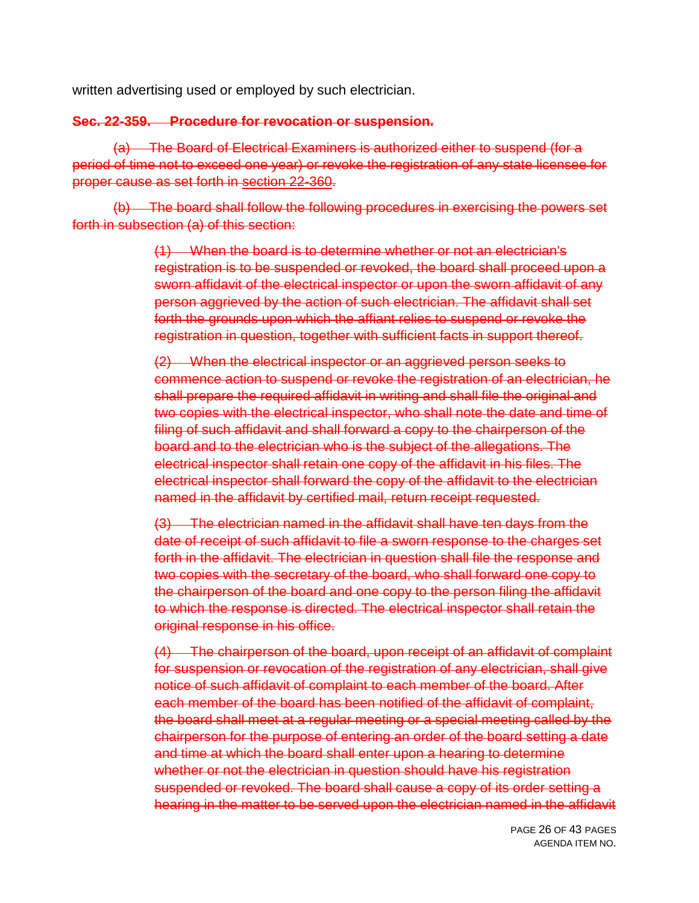written advertising used or employed by such electrician.

#### **Sec. 22-359. Procedure for revocation or suspension.**

(a) The Board of Electrical Examiners is authorized either to suspend (for a period of time not to exceed one year) or revoke the registration of any state licensee for proper cause as set forth in [section 22-360.](https://z2.franklinlegal.net/franklin/DocViewer.jsp?doccode=z20000042&z2collection=wichitafalls#JD_22-360)

(b) The board shall follow the following procedures in exercising the powers set forth in subsection (a) of this section:

> (1) When the board is to determine whether or not an electrician's registration is to be suspended or revoked, the board shall proceed upon a sworn affidavit of the electrical inspector or upon the sworn affidavit of any person aggrieved by the action of such electrician. The affidavit shall set forth the grounds upon which the affiant relies to suspend or revoke the registration in question, together with sufficient facts in support thereof.

> (2) When the electrical inspector or an aggrieved person seeks to commence action to suspend or revoke the registration of an electrician, he shall prepare the required affidavit in writing and shall file the original and two copies with the electrical inspector, who shall note the date and time of filing of such affidavit and shall forward a copy to the chairperson of the board and to the electrician who is the subject of the allegations. The electrical inspector shall retain one copy of the affidavit in his files. The electrical inspector shall forward the copy of the affidavit to the electrician named in the affidavit by certified mail, return receipt requested.

(3) The electrician named in the affidavit shall have ten days from the date of receipt of such affidavit to file a sworn response to the charges set forth in the affidavit. The electrician in question shall file the response and two copies with the secretary of the board, who shall forward one copy to the chairperson of the board and one copy to the person filing the affidavit to which the response is directed. The electrical inspector shall retain the original response in his office.

(4) The chairperson of the board, upon receipt of an affidavit of complaint for suspension or revocation of the registration of any electrician, shall give notice of such affidavit of complaint to each member of the board. After each member of the board has been notified of the affidavit of complaint, the board shall meet at a regular meeting or a special meeting called by the chairperson for the purpose of entering an order of the board setting a date and time at which the board shall enter upon a hearing to determine whether or not the electrician in question should have his registration suspended or revoked. The board shall cause a copy of its order setting a hearing in the matter to be served upon the electrician named in the affidavit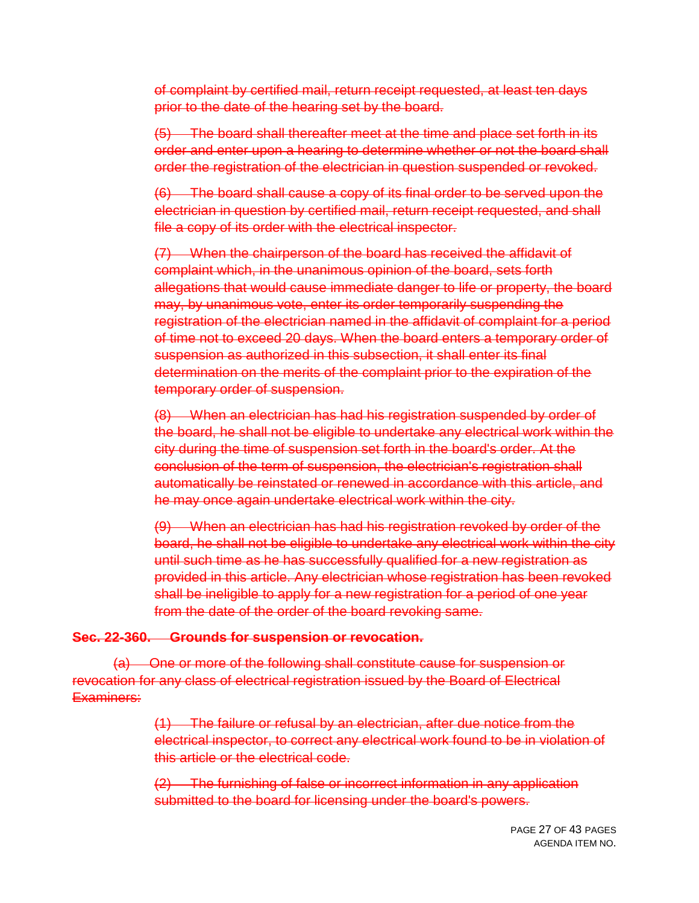of complaint by certified mail, return receipt requested, at least ten days prior to the date of the hearing set by the board.

(5) The board shall thereafter meet at the time and place set forth in its order and enter upon a hearing to determine whether or not the board shall order the registration of the electrician in question suspended or revoked.

(6) The board shall cause a copy of its final order to be served upon the electrician in question by certified mail, return receipt requested, and shall file a copy of its order with the electrical inspector.

(7) When the chairperson of the board has received the affidavit of complaint which, in the unanimous opinion of the board, sets forth allegations that would cause immediate danger to life or property, the board may, by unanimous vote, enter its order temporarily suspending the registration of the electrician named in the affidavit of complaint for a period of time not to exceed 20 days. When the board enters a temporary order of suspension as authorized in this subsection, it shall enter its final determination on the merits of the complaint prior to the expiration of the temporary order of suspension.

(8) When an electrician has had his registration suspended by order of the board, he shall not be eligible to undertake any electrical work within the city during the time of suspension set forth in the board's order. At the conclusion of the term of suspension, the electrician's registration shall automatically be reinstated or renewed in accordance with this article, and he may once again undertake electrical work within the city.

(9) When an electrician has had his registration revoked by order of the board, he shall not be eligible to undertake any electrical work within the city until such time as he has successfully qualified for a new registration as provided in this article. Any electrician whose registration has been revoked shall be ineligible to apply for a new registration for a period of one year from the date of the order of the board revoking same.

#### **Sec. 22-360. Grounds for suspension or revocation.**

(a) One or more of the following shall constitute cause for suspension or revocation for any class of electrical registration issued by the Board of Electrical Examiners:

> (1) The failure or refusal by an electrician, after due notice from the electrical inspector, to correct any electrical work found to be in violation of this article or the electrical code.

(2) The furnishing of false or incorrect information in any application submitted to the board for licensing under the board's powers.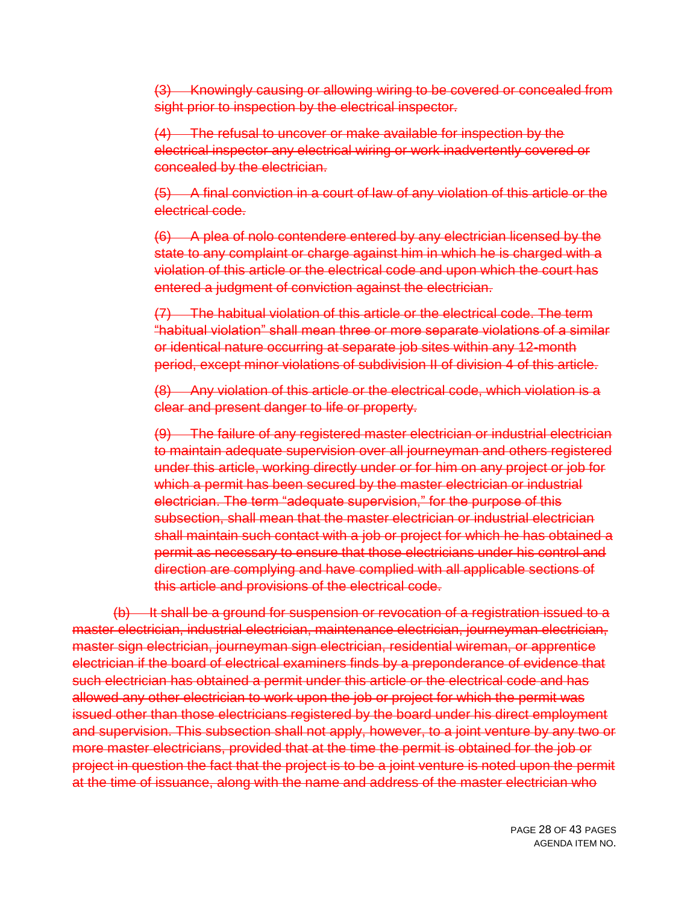(3) Knowingly causing or allowing wiring to be covered or concealed from sight prior to inspection by the electrical inspector.

(4) The refusal to uncover or make available for inspection by the electrical inspector any electrical wiring or work inadvertently covered or concealed by the electrician.

(5) A final conviction in a court of law of any violation of this article or the electrical code.

(6) A plea of nolo contendere entered by any electrician licensed by the state to any complaint or charge against him in which he is charged with a violation of this article or the electrical code and upon which the court has entered a judgment of conviction against the electrician.

(7) The habitual violation of this article or the electrical code. The term "habitual violation" shall mean three or more separate violations of a similar or identical nature occurring at separate job sites within any 12-month period, except minor violations of subdivision II of division 4 of this article.

(8) Any violation of this article or the electrical code, which violation is a clear and present danger to life or property.

(9) The failure of any registered master electrician or industrial electrician to maintain adequate supervision over all journeyman and others registered under this article, working directly under or for him on any project or job for which a permit has been secured by the master electrician or industrial electrician. The term "adequate supervision," for the purpose of this subsection, shall mean that the master electrician or industrial electrician shall maintain such contact with a job or project for which he has obtained a permit as necessary to ensure that those electricians under his control and direction are complying and have complied with all applicable sections of this article and provisions of the electrical code.

(b) It shall be a ground for suspension or revocation of a registration issued to a master electrician, industrial electrician, maintenance electrician, journeyman electrician, master sign electrician, journeyman sign electrician, residential wireman, or apprentice electrician if the board of electrical examiners finds by a preponderance of evidence that such electrician has obtained a permit under this article or the electrical code and has allowed any other electrician to work upon the job or project for which the permit was issued other than those electricians registered by the board under his direct employment and supervision. This subsection shall not apply, however, to a joint venture by any two or more master electricians, provided that at the time the permit is obtained for the job or project in question the fact that the project is to be a joint venture is noted upon the permit at the time of issuance, along with the name and address of the master electrician who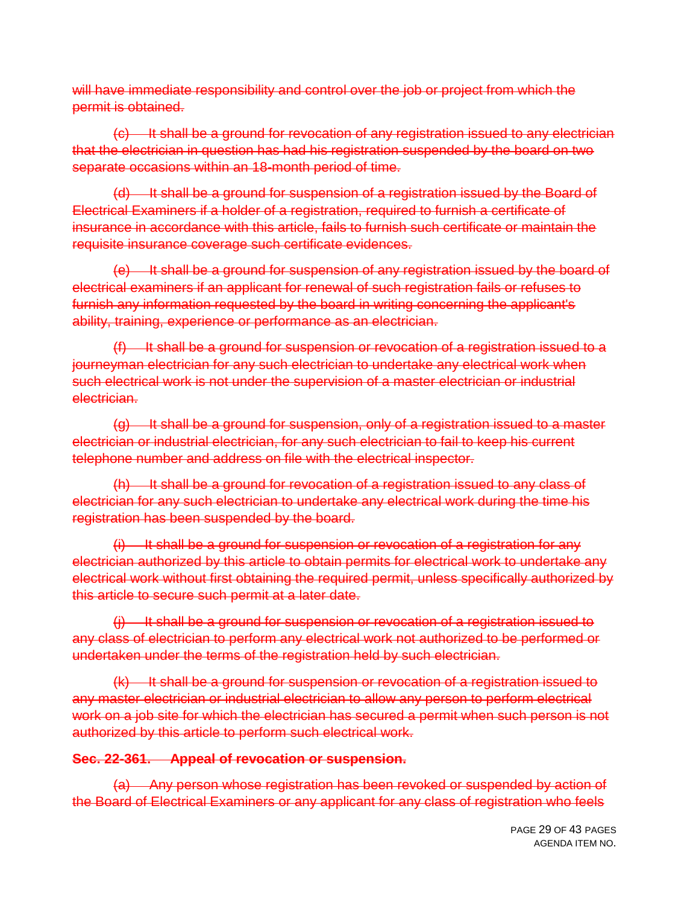will have immediate responsibility and control over the job or project from which the permit is obtained.

(c) It shall be a ground for revocation of any registration issued to any electrician that the electrician in question has had his registration suspended by the board on two separate occasions within an 18-month period of time.

(d) It shall be a ground for suspension of a registration issued by the Board of Electrical Examiners if a holder of a registration, required to furnish a certificate of insurance in accordance with this article, fails to furnish such certificate or maintain the requisite insurance coverage such certificate evidences.

(e) It shall be a ground for suspension of any registration issued by the board of electrical examiners if an applicant for renewal of such registration fails or refuses to furnish any information requested by the board in writing concerning the applicant's ability, training, experience or performance as an electrician.

 $(f)$  It shall be a ground for suspension or revocation of a registration issued to a journeyman electrician for any such electrician to undertake any electrical work when such electrical work is not under the supervision of a master electrician or industrial electrician.

 $(g)$  It shall be a ground for suspension, only of a registration issued to a master electrician or industrial electrician, for any such electrician to fail to keep his current telephone number and address on file with the electrical inspector.

(h) It shall be a ground for revocation of a registration issued to any class of electrician for any such electrician to undertake any electrical work during the time his registration has been suspended by the board.

 $(i)$  It shall be a ground for suspension or revocation of a registration for any electrician authorized by this article to obtain permits for electrical work to undertake any electrical work without first obtaining the required permit, unless specifically authorized by this article to secure such permit at a later date.

(j) It shall be a ground for suspension or revocation of a registration issued to any class of electrician to perform any electrical work not authorized to be performed or undertaken under the terms of the registration held by such electrician.

(k) It shall be a ground for suspension or revocation of a registration issued to any master electrician or industrial electrician to allow any person to perform electrical work on a job site for which the electrician has secured a permit when such person is not authorized by this article to perform such electrical work.

### **Sec. 22-361. Appeal of revocation or suspension.**

(a) Any person whose registration has been revoked or suspended by action of the Board of Electrical Examiners or any applicant for any class of registration who feels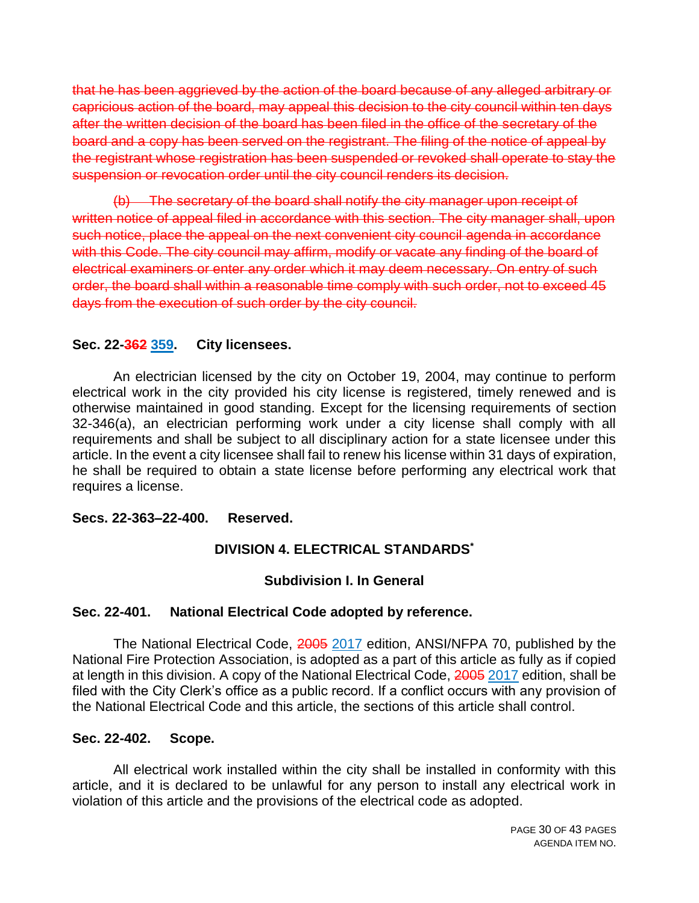that he has been aggrieved by the action of the board because of any alleged arbitrary or capricious action of the board, may appeal this decision to the city council within ten days after the written decision of the board has been filed in the office of the secretary of the board and a copy has been served on the registrant. The filing of the notice of appeal by the registrant whose registration has been suspended or revoked shall operate to stay the suspension or revocation order until the city council renders its decision.

(b) The secretary of the board shall notify the city manager upon receipt of written notice of appeal filed in accordance with this section. The city manager shall, upon such notice, place the appeal on the next convenient city council agenda in accordance with this Code. The city council may affirm, modify or vacate any finding of the board of electrical examiners or enter any order which it may deem necessary. On entry of such order, the board shall within a reasonable time comply with such order, not to exceed 45 days from the execution of such order by the city council.

#### **Sec. 22-362 359. City licensees.**

An electrician licensed by the city on October 19, 2004, may continue to perform electrical work in the city provided his city license is registered, timely renewed and is otherwise maintained in good standing. Except for the licensing requirements of section 32-346(a), an electrician performing work under a city license shall comply with all requirements and shall be subject to all disciplinary action for a state licensee under this article. In the event a city licensee shall fail to renew his license within 31 days of expiration, he shall be required to obtain a state license before performing any electrical work that requires a license.

#### **Secs. 22-363–22-400. Reserved.**

#### **DIVISION 4. ELECTRICAL STANDARDS\***

#### **Subdivision I. In General**

#### **Sec. 22-401. National Electrical Code adopted by reference.**

The National Electrical Code, 2005 2017 edition, ANSI/NFPA 70, published by the National Fire Protection Association, is adopted as a part of this article as fully as if copied at length in this division. A copy of the National Electrical Code, 2005 2017 edition, shall be filed with the City Clerk's office as a public record. If a conflict occurs with any provision of the National Electrical Code and this article, the sections of this article shall control.

#### **Sec. 22-402. Scope.**

All electrical work installed within the city shall be installed in conformity with this article, and it is declared to be unlawful for any person to install any electrical work in violation of this article and the provisions of the electrical code as adopted.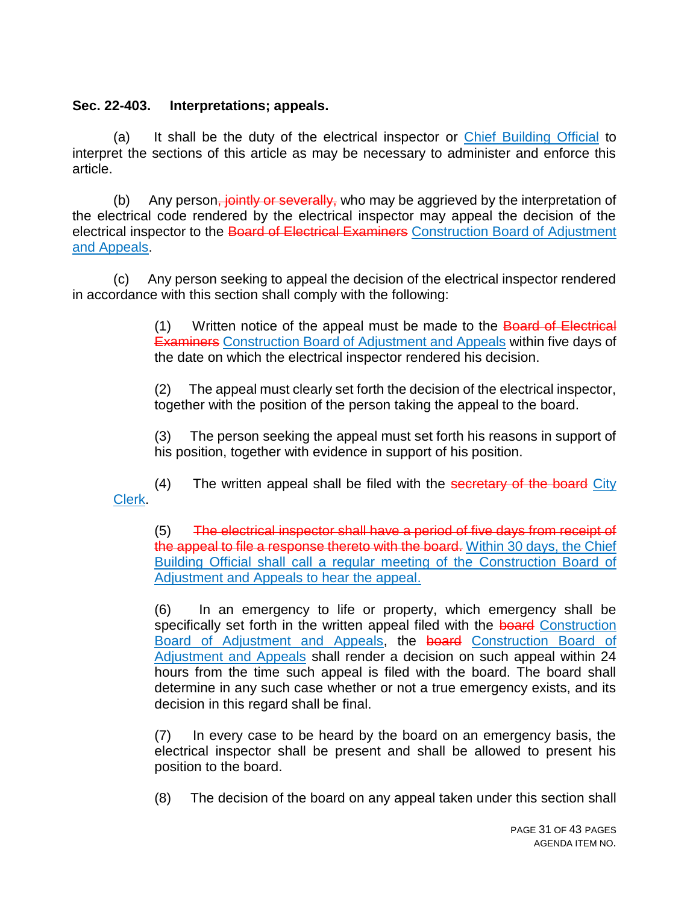### **Sec. 22-403. Interpretations; appeals.**

(a) It shall be the duty of the electrical inspector or Chief Building Official to interpret the sections of this article as may be necessary to administer and enforce this article.

(b) Any person, jointly or severally, who may be aggrieved by the interpretation of the electrical code rendered by the electrical inspector may appeal the decision of the electrical inspector to the Board of Electrical Examiners Construction Board of Adjustment and Appeals.

(c) Any person seeking to appeal the decision of the electrical inspector rendered in accordance with this section shall comply with the following:

> (1) Written notice of the appeal must be made to the Board of Electrical Examiners Construction Board of Adjustment and Appeals within five days of the date on which the electrical inspector rendered his decision.

> (2) The appeal must clearly set forth the decision of the electrical inspector, together with the position of the person taking the appeal to the board.

> (3) The person seeking the appeal must set forth his reasons in support of his position, together with evidence in support of his position.

 $(4)$  The written appeal shall be filed with the secretary of the board City Clerk.

(5) The electrical inspector shall have a period of five days from receipt of the appeal to file a response thereto with the board. Within 30 days, the Chief Building Official shall call a regular meeting of the Construction Board of Adjustment and Appeals to hear the appeal.

(6) In an emergency to life or property, which emergency shall be specifically set forth in the written appeal filed with the board Construction Board of Adjustment and Appeals, the board Construction Board of Adjustment and Appeals shall render a decision on such appeal within 24 hours from the time such appeal is filed with the board. The board shall determine in any such case whether or not a true emergency exists, and its decision in this regard shall be final.

(7) In every case to be heard by the board on an emergency basis, the electrical inspector shall be present and shall be allowed to present his position to the board.

(8) The decision of the board on any appeal taken under this section shall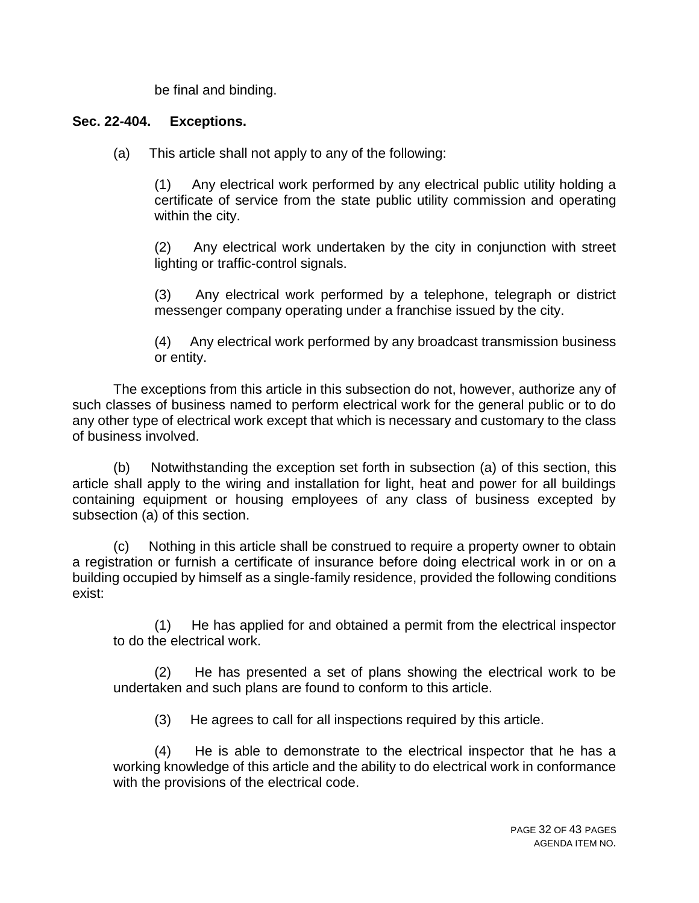be final and binding.

### **Sec. 22-404. Exceptions.**

(a) This article shall not apply to any of the following:

(1) Any electrical work performed by any electrical public utility holding a certificate of service from the state public utility commission and operating within the city.

(2) Any electrical work undertaken by the city in conjunction with street lighting or traffic-control signals.

(3) Any electrical work performed by a telephone, telegraph or district messenger company operating under a franchise issued by the city.

(4) Any electrical work performed by any broadcast transmission business or entity.

The exceptions from this article in this subsection do not, however, authorize any of such classes of business named to perform electrical work for the general public or to do any other type of electrical work except that which is necessary and customary to the class of business involved.

(b) Notwithstanding the exception set forth in subsection (a) of this section, this article shall apply to the wiring and installation for light, heat and power for all buildings containing equipment or housing employees of any class of business excepted by subsection (a) of this section.

(c) Nothing in this article shall be construed to require a property owner to obtain a registration or furnish a certificate of insurance before doing electrical work in or on a building occupied by himself as a single-family residence, provided the following conditions exist:

(1) He has applied for and obtained a permit from the electrical inspector to do the electrical work.

(2) He has presented a set of plans showing the electrical work to be undertaken and such plans are found to conform to this article.

(3) He agrees to call for all inspections required by this article.

(4) He is able to demonstrate to the electrical inspector that he has a working knowledge of this article and the ability to do electrical work in conformance with the provisions of the electrical code.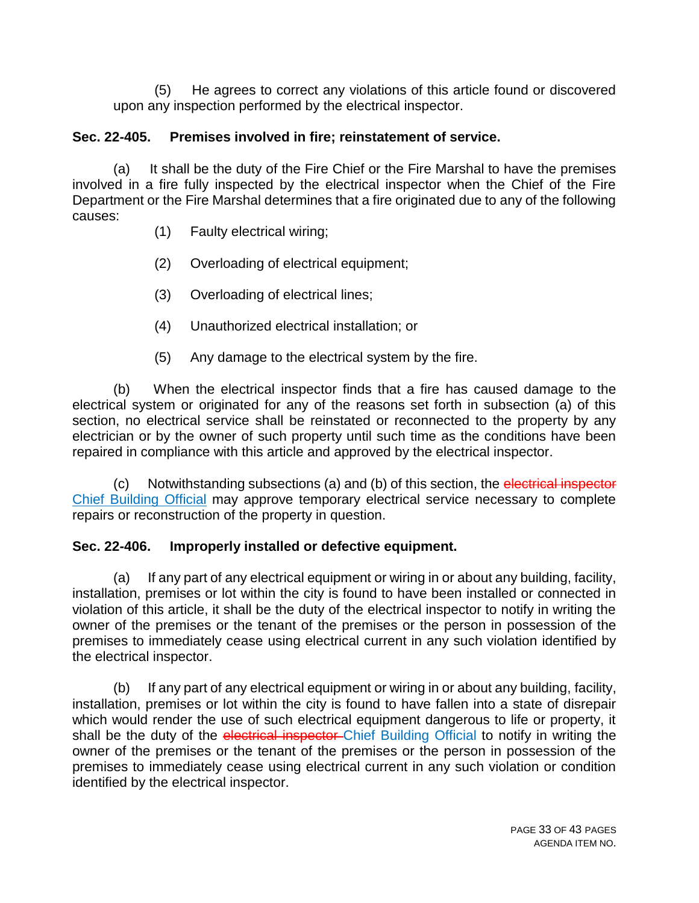(5) He agrees to correct any violations of this article found or discovered upon any inspection performed by the electrical inspector.

# **Sec. 22-405. Premises involved in fire; reinstatement of service.**

(a) It shall be the duty of the Fire Chief or the Fire Marshal to have the premises involved in a fire fully inspected by the electrical inspector when the Chief of the Fire Department or the Fire Marshal determines that a fire originated due to any of the following causes:

- (1) Faulty electrical wiring;
- (2) Overloading of electrical equipment;
- (3) Overloading of electrical lines;
- (4) Unauthorized electrical installation; or
- (5) Any damage to the electrical system by the fire.

(b) When the electrical inspector finds that a fire has caused damage to the electrical system or originated for any of the reasons set forth in subsection (a) of this section, no electrical service shall be reinstated or reconnected to the property by any electrician or by the owner of such property until such time as the conditions have been repaired in compliance with this article and approved by the electrical inspector.

(c) Notwithstanding subsections (a) and (b) of this section, the electrical inspector Chief Building Official may approve temporary electrical service necessary to complete repairs or reconstruction of the property in question.

# **Sec. 22-406. Improperly installed or defective equipment.**

(a) If any part of any electrical equipment or wiring in or about any building, facility, installation, premises or lot within the city is found to have been installed or connected in violation of this article, it shall be the duty of the electrical inspector to notify in writing the owner of the premises or the tenant of the premises or the person in possession of the premises to immediately cease using electrical current in any such violation identified by the electrical inspector.

(b) If any part of any electrical equipment or wiring in or about any building, facility, installation, premises or lot within the city is found to have fallen into a state of disrepair which would render the use of such electrical equipment dangerous to life or property, it shall be the duty of the electrical inspector Chief Building Official to notify in writing the owner of the premises or the tenant of the premises or the person in possession of the premises to immediately cease using electrical current in any such violation or condition identified by the electrical inspector.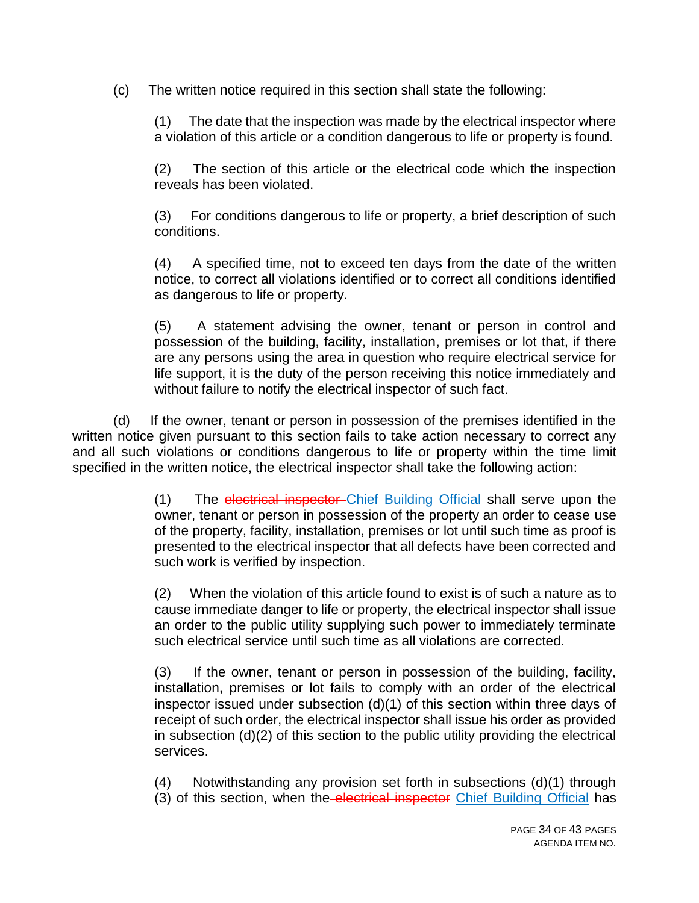(c) The written notice required in this section shall state the following:

(1) The date that the inspection was made by the electrical inspector where a violation of this article or a condition dangerous to life or property is found.

(2) The section of this article or the electrical code which the inspection reveals has been violated.

(3) For conditions dangerous to life or property, a brief description of such conditions.

(4) A specified time, not to exceed ten days from the date of the written notice, to correct all violations identified or to correct all conditions identified as dangerous to life or property.

(5) A statement advising the owner, tenant or person in control and possession of the building, facility, installation, premises or lot that, if there are any persons using the area in question who require electrical service for life support, it is the duty of the person receiving this notice immediately and without failure to notify the electrical inspector of such fact.

(d) If the owner, tenant or person in possession of the premises identified in the written notice given pursuant to this section fails to take action necessary to correct any and all such violations or conditions dangerous to life or property within the time limit specified in the written notice, the electrical inspector shall take the following action:

> (1) The electrical inspector Chief Building Official shall serve upon the owner, tenant or person in possession of the property an order to cease use of the property, facility, installation, premises or lot until such time as proof is presented to the electrical inspector that all defects have been corrected and such work is verified by inspection.

> (2) When the violation of this article found to exist is of such a nature as to cause immediate danger to life or property, the electrical inspector shall issue an order to the public utility supplying such power to immediately terminate such electrical service until such time as all violations are corrected.

> (3) If the owner, tenant or person in possession of the building, facility, installation, premises or lot fails to comply with an order of the electrical inspector issued under subsection (d)(1) of this section within three days of receipt of such order, the electrical inspector shall issue his order as provided in subsection (d)(2) of this section to the public utility providing the electrical services.

> (4) Notwithstanding any provision set forth in subsections (d)(1) through (3) of this section, when the electrical inspector Chief Building Official has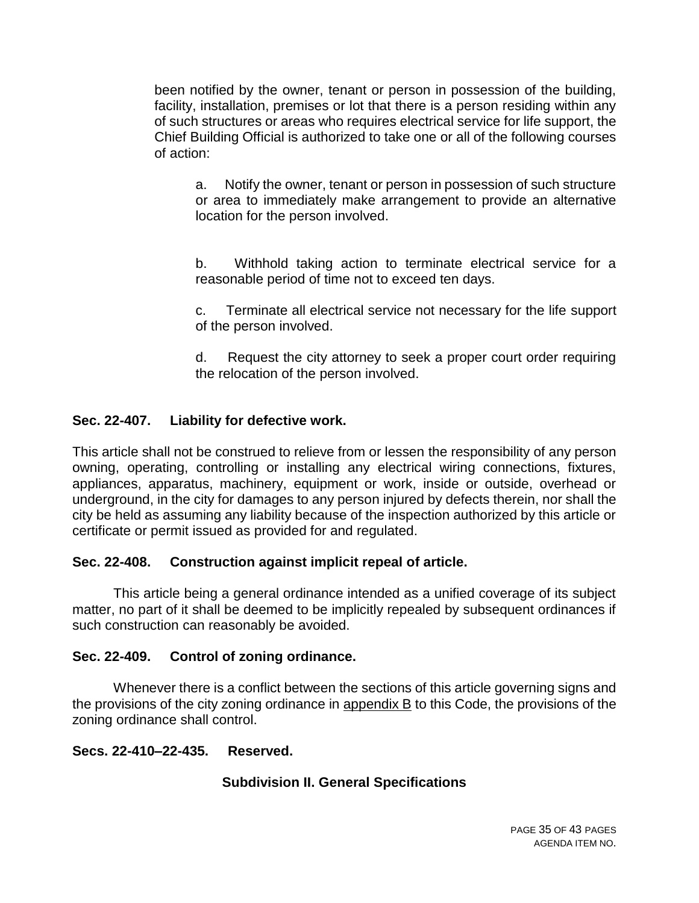been notified by the owner, tenant or person in possession of the building, facility, installation, premises or lot that there is a person residing within any of such structures or areas who requires electrical service for life support, the Chief Building Official is authorized to take one or all of the following courses of action:

a. Notify the owner, tenant or person in possession of such structure or area to immediately make arrangement to provide an alternative location for the person involved.

b. Withhold taking action to terminate electrical service for a reasonable period of time not to exceed ten days.

c. Terminate all electrical service not necessary for the life support of the person involved.

d. Request the city attorney to seek a proper court order requiring the relocation of the person involved.

## **Sec. 22-407. Liability for defective work.**

This article shall not be construed to relieve from or lessen the responsibility of any person owning, operating, controlling or installing any electrical wiring connections, fixtures, appliances, apparatus, machinery, equipment or work, inside or outside, overhead or underground, in the city for damages to any person injured by defects therein, nor shall the city be held as assuming any liability because of the inspection authorized by this article or certificate or permit issued as provided for and regulated.

# **Sec. 22-408. Construction against implicit repeal of article.**

This article being a general ordinance intended as a unified coverage of its subject matter, no part of it shall be deemed to be implicitly repealed by subsequent ordinances if such construction can reasonably be avoided.

### **Sec. 22-409. Control of zoning ordinance.**

Whenever there is a conflict between the sections of this article governing signs and the provisions of the city zoning ordinance in appendix B to this Code, the provisions of the zoning ordinance shall control.

### **Secs. 22-410–22-435. Reserved.**

# **Subdivision II. General Specifications**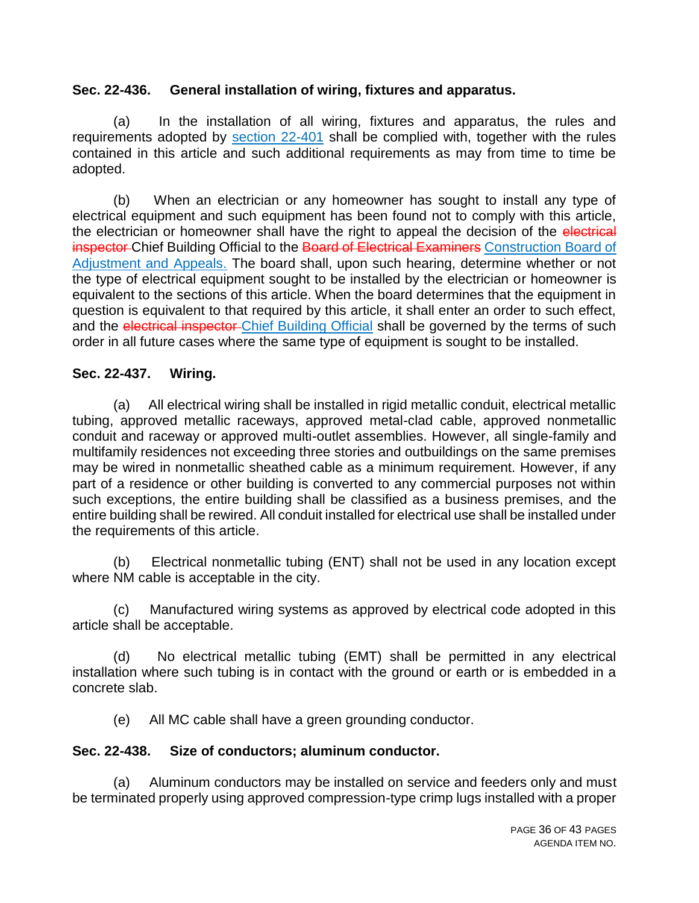#### **Sec. 22-436. General installation of wiring, fixtures and apparatus.**

(a) In the installation of all wiring, fixtures and apparatus, the rules and requirements adopted by section 22-401 shall be complied with, together with the rules contained in this article and such additional requirements as may from time to time be adopted.

(b) When an electrician or any homeowner has sought to install any type of electrical equipment and such equipment has been found not to comply with this article, the electrician or homeowner shall have the right to appeal the decision of the electrical inspector Chief Building Official to the Board of Electrical Examiners Construction Board of Adjustment and Appeals. The board shall, upon such hearing, determine whether or not the type of electrical equipment sought to be installed by the electrician or homeowner is equivalent to the sections of this article. When the board determines that the equipment in question is equivalent to that required by this article, it shall enter an order to such effect, and the electrical inspector-Chief Building Official shall be governed by the terms of such order in all future cases where the same type of equipment is sought to be installed.

### **Sec. 22-437. Wiring.**

(a) All electrical wiring shall be installed in rigid metallic conduit, electrical metallic tubing, approved metallic raceways, approved metal-clad cable, approved nonmetallic conduit and raceway or approved multi-outlet assemblies. However, all single-family and multifamily residences not exceeding three stories and outbuildings on the same premises may be wired in nonmetallic sheathed cable as a minimum requirement. However, if any part of a residence or other building is converted to any commercial purposes not within such exceptions, the entire building shall be classified as a business premises, and the entire building shall be rewired. All conduit installed for electrical use shall be installed under the requirements of this article.

(b) Electrical nonmetallic tubing (ENT) shall not be used in any location except where NM cable is acceptable in the city.

(c) Manufactured wiring systems as approved by electrical code adopted in this article shall be acceptable.

(d) No electrical metallic tubing (EMT) shall be permitted in any electrical installation where such tubing is in contact with the ground or earth or is embedded in a concrete slab.

(e) All MC cable shall have a green grounding conductor.

#### **Sec. 22-438. Size of conductors; aluminum conductor.**

(a) Aluminum conductors may be installed on service and feeders only and must be terminated properly using approved compression-type crimp lugs installed with a proper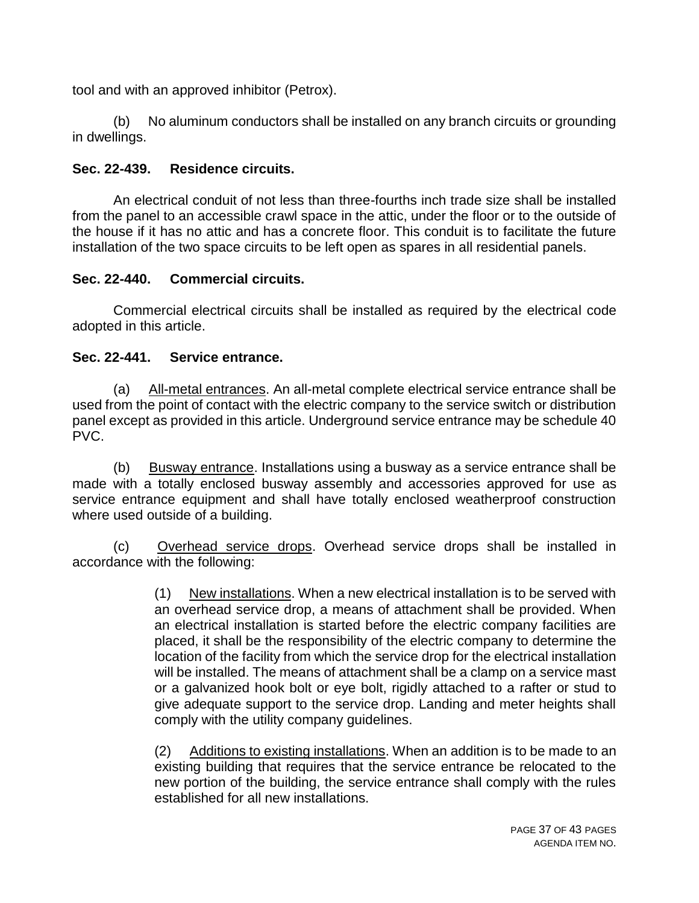tool and with an approved inhibitor (Petrox).

(b) No aluminum conductors shall be installed on any branch circuits or grounding in dwellings.

## **Sec. 22-439. Residence circuits.**

An electrical conduit of not less than three-fourths inch trade size shall be installed from the panel to an accessible crawl space in the attic, under the floor or to the outside of the house if it has no attic and has a concrete floor. This conduit is to facilitate the future installation of the two space circuits to be left open as spares in all residential panels.

## **Sec. 22-440. Commercial circuits.**

Commercial electrical circuits shall be installed as required by the electrical code adopted in this article.

### **Sec. 22-441. Service entrance.**

(a) All-metal entrances. An all-metal complete electrical service entrance shall be used from the point of contact with the electric company to the service switch or distribution panel except as provided in this article. Underground service entrance may be schedule 40 PVC.

(b) Busway entrance. Installations using a busway as a service entrance shall be made with a totally enclosed busway assembly and accessories approved for use as service entrance equipment and shall have totally enclosed weatherproof construction where used outside of a building.

(c) Overhead service drops. Overhead service drops shall be installed in accordance with the following:

> (1) New installations. When a new electrical installation is to be served with an overhead service drop, a means of attachment shall be provided. When an electrical installation is started before the electric company facilities are placed, it shall be the responsibility of the electric company to determine the location of the facility from which the service drop for the electrical installation will be installed. The means of attachment shall be a clamp on a service mast or a galvanized hook bolt or eye bolt, rigidly attached to a rafter or stud to give adequate support to the service drop. Landing and meter heights shall comply with the utility company guidelines.

> (2) Additions to existing installations. When an addition is to be made to an existing building that requires that the service entrance be relocated to the new portion of the building, the service entrance shall comply with the rules established for all new installations.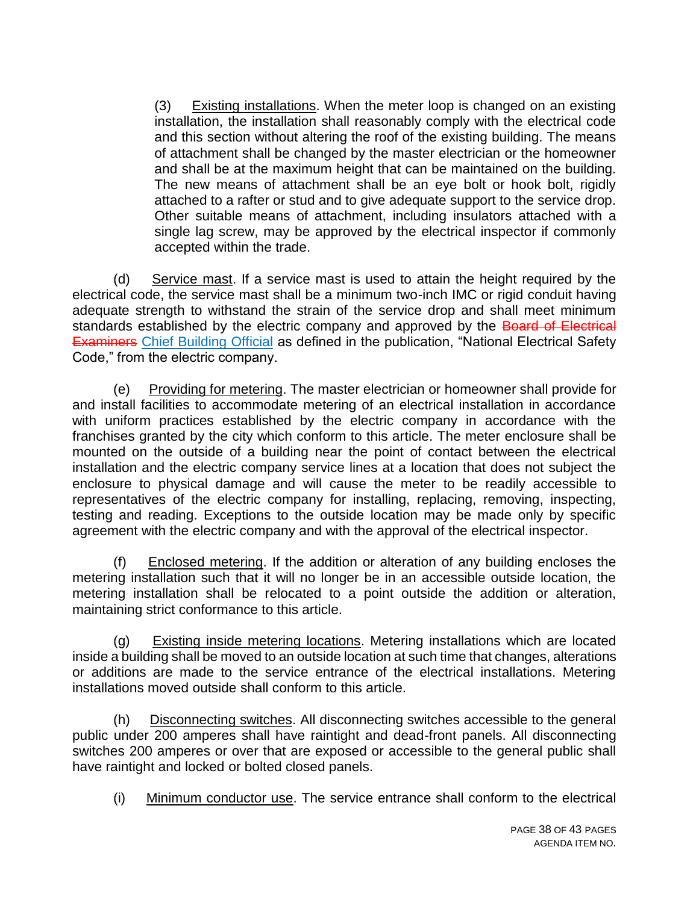(3) Existing installations. When the meter loop is changed on an existing installation, the installation shall reasonably comply with the electrical code and this section without altering the roof of the existing building. The means of attachment shall be changed by the master electrician or the homeowner and shall be at the maximum height that can be maintained on the building. The new means of attachment shall be an eye bolt or hook bolt, rigidly attached to a rafter or stud and to give adequate support to the service drop. Other suitable means of attachment, including insulators attached with a single lag screw, may be approved by the electrical inspector if commonly accepted within the trade.

(d) Service mast. If a service mast is used to attain the height required by the electrical code, the service mast shall be a minimum two-inch IMC or rigid conduit having adequate strength to withstand the strain of the service drop and shall meet minimum standards established by the electric company and approved by the Board of Electrical **Examiners** Chief Building Official as defined in the publication, "National Electrical Safety Code," from the electric company.

(e) Providing for metering. The master electrician or homeowner shall provide for and install facilities to accommodate metering of an electrical installation in accordance with uniform practices established by the electric company in accordance with the franchises granted by the city which conform to this article. The meter enclosure shall be mounted on the outside of a building near the point of contact between the electrical installation and the electric company service lines at a location that does not subject the enclosure to physical damage and will cause the meter to be readily accessible to representatives of the electric company for installing, replacing, removing, inspecting, testing and reading. Exceptions to the outside location may be made only by specific agreement with the electric company and with the approval of the electrical inspector.

(f) Enclosed metering. If the addition or alteration of any building encloses the metering installation such that it will no longer be in an accessible outside location, the metering installation shall be relocated to a point outside the addition or alteration, maintaining strict conformance to this article.

(g) Existing inside metering locations. Metering installations which are located inside a building shall be moved to an outside location at such time that changes, alterations or additions are made to the service entrance of the electrical installations. Metering installations moved outside shall conform to this article.

(h) Disconnecting switches. All disconnecting switches accessible to the general public under 200 amperes shall have raintight and dead-front panels. All disconnecting switches 200 amperes or over that are exposed or accessible to the general public shall have raintight and locked or bolted closed panels.

(i) Minimum conductor use. The service entrance shall conform to the electrical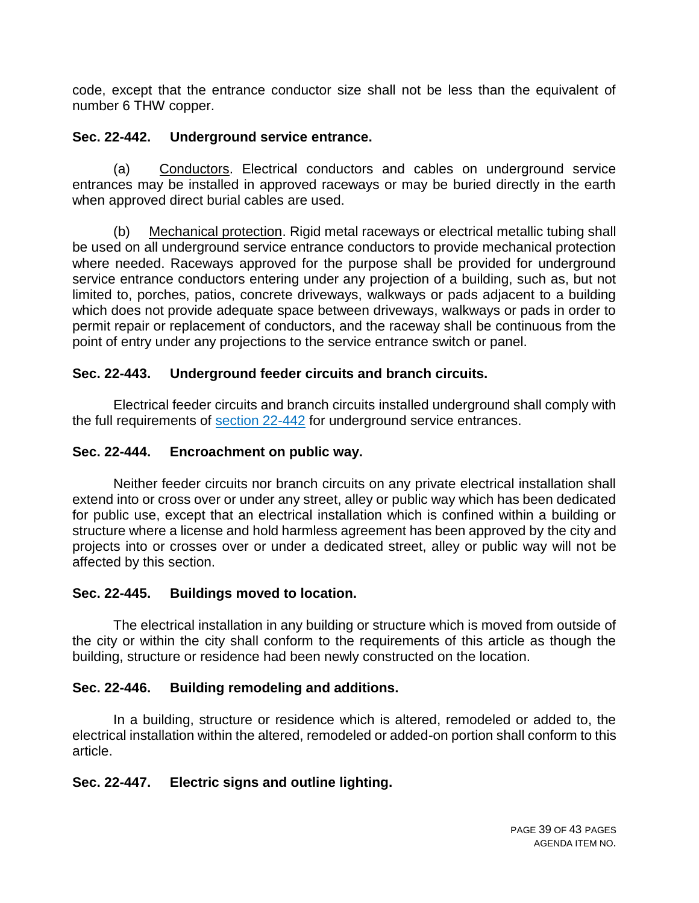code, except that the entrance conductor size shall not be less than the equivalent of number 6 THW copper.

## **Sec. 22-442. Underground service entrance.**

(a) Conductors. Electrical conductors and cables on underground service entrances may be installed in approved raceways or may be buried directly in the earth when approved direct burial cables are used.

(b) Mechanical protection. Rigid metal raceways or electrical metallic tubing shall be used on all underground service entrance conductors to provide mechanical protection where needed. Raceways approved for the purpose shall be provided for underground service entrance conductors entering under any projection of a building, such as, but not limited to, porches, patios, concrete driveways, walkways or pads adjacent to a building which does not provide adequate space between driveways, walkways or pads in order to permit repair or replacement of conductors, and the raceway shall be continuous from the point of entry under any projections to the service entrance switch or panel.

## **Sec. 22-443. Underground feeder circuits and branch circuits.**

Electrical feeder circuits and branch circuits installed underground shall comply with the full requirements of section 22-442 for underground service entrances.

## **Sec. 22-444. Encroachment on public way.**

Neither feeder circuits nor branch circuits on any private electrical installation shall extend into or cross over or under any street, alley or public way which has been dedicated for public use, except that an electrical installation which is confined within a building or structure where a license and hold harmless agreement has been approved by the city and projects into or crosses over or under a dedicated street, alley or public way will not be affected by this section.

### **Sec. 22-445. Buildings moved to location.**

The electrical installation in any building or structure which is moved from outside of the city or within the city shall conform to the requirements of this article as though the building, structure or residence had been newly constructed on the location.

# **Sec. 22-446. Building remodeling and additions.**

In a building, structure or residence which is altered, remodeled or added to, the electrical installation within the altered, remodeled or added-on portion shall conform to this article.

# **Sec. 22-447. Electric signs and outline lighting.**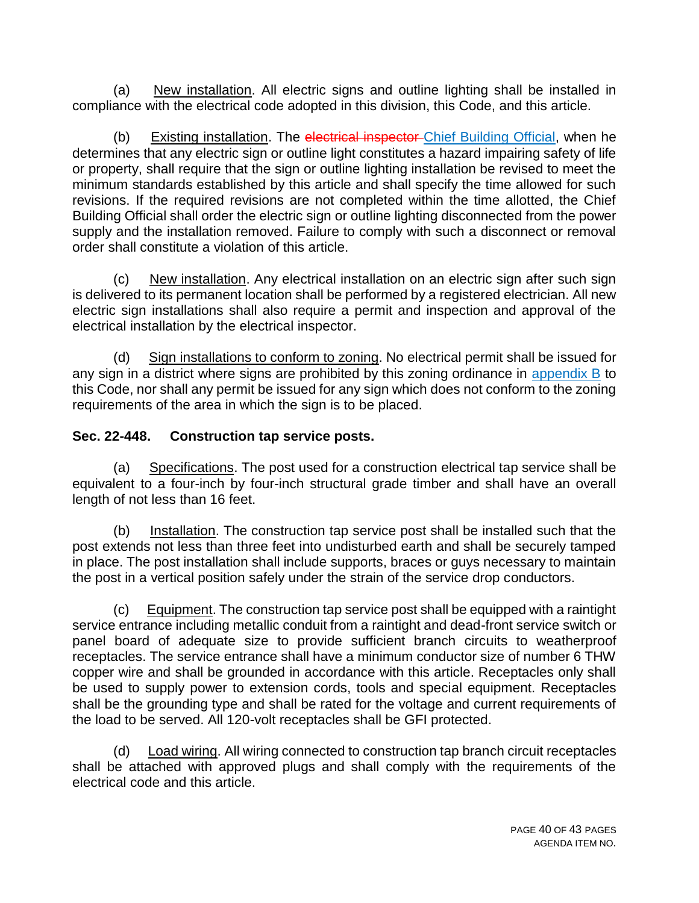(a) New installation. All electric signs and outline lighting shall be installed in compliance with the electrical code adopted in this division, this Code, and this article.

(b) Existing installation. The electrical inspector-Chief Building Official, when he determines that any electric sign or outline light constitutes a hazard impairing safety of life or property, shall require that the sign or outline lighting installation be revised to meet the minimum standards established by this article and shall specify the time allowed for such revisions. If the required revisions are not completed within the time allotted, the Chief Building Official shall order the electric sign or outline lighting disconnected from the power supply and the installation removed. Failure to comply with such a disconnect or removal order shall constitute a violation of this article.

(c) New installation. Any electrical installation on an electric sign after such sign is delivered to its permanent location shall be performed by a registered electrician. All new electric sign installations shall also require a permit and inspection and approval of the electrical installation by the electrical inspector.

(d) Sign installations to conform to zoning. No electrical permit shall be issued for any sign in a district where signs are prohibited by this zoning ordinance in appendix  $\overline{B}$  to this Code, nor shall any permit be issued for any sign which does not conform to the zoning requirements of the area in which the sign is to be placed.

## **Sec. 22-448. Construction tap service posts.**

(a) Specifications. The post used for a construction electrical tap service shall be equivalent to a four-inch by four-inch structural grade timber and shall have an overall length of not less than 16 feet.

(b) Installation. The construction tap service post shall be installed such that the post extends not less than three feet into undisturbed earth and shall be securely tamped in place. The post installation shall include supports, braces or guys necessary to maintain the post in a vertical position safely under the strain of the service drop conductors.

(c) Equipment. The construction tap service post shall be equipped with a raintight service entrance including metallic conduit from a raintight and dead-front service switch or panel board of adequate size to provide sufficient branch circuits to weatherproof receptacles. The service entrance shall have a minimum conductor size of number 6 THW copper wire and shall be grounded in accordance with this article. Receptacles only shall be used to supply power to extension cords, tools and special equipment. Receptacles shall be the grounding type and shall be rated for the voltage and current requirements of the load to be served. All 120-volt receptacles shall be GFI protected.

(d) Load wiring. All wiring connected to construction tap branch circuit receptacles shall be attached with approved plugs and shall comply with the requirements of the electrical code and this article.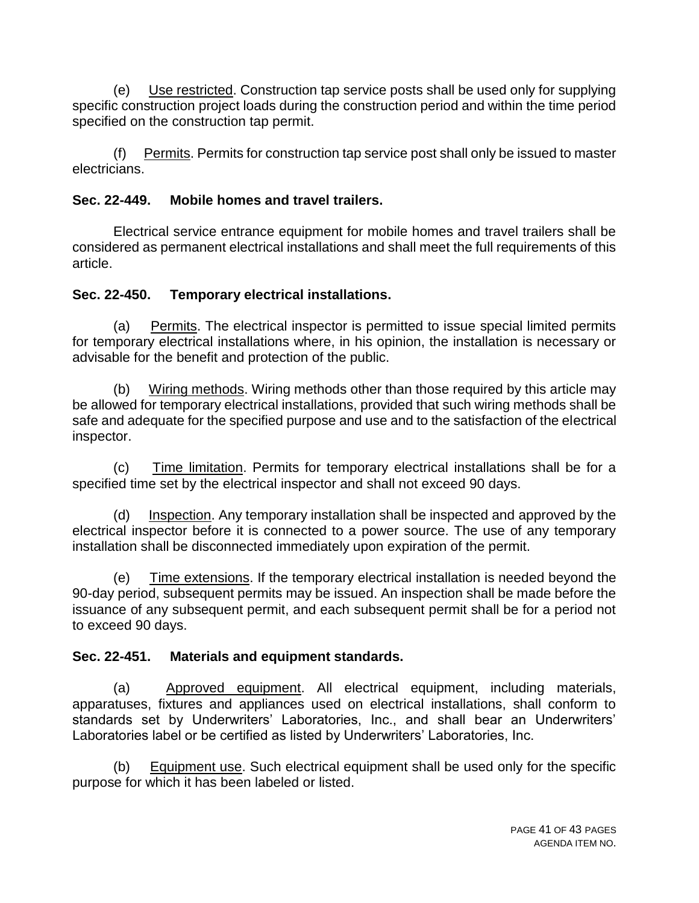(e) Use restricted. Construction tap service posts shall be used only for supplying specific construction project loads during the construction period and within the time period specified on the construction tap permit.

(f) Permits. Permits for construction tap service post shall only be issued to master electricians.

# **Sec. 22-449. Mobile homes and travel trailers.**

Electrical service entrance equipment for mobile homes and travel trailers shall be considered as permanent electrical installations and shall meet the full requirements of this article.

# **Sec. 22-450. Temporary electrical installations.**

(a) Permits. The electrical inspector is permitted to issue special limited permits for temporary electrical installations where, in his opinion, the installation is necessary or advisable for the benefit and protection of the public.

(b) Wiring methods. Wiring methods other than those required by this article may be allowed for temporary electrical installations, provided that such wiring methods shall be safe and adequate for the specified purpose and use and to the satisfaction of the electrical inspector.

(c) Time limitation. Permits for temporary electrical installations shall be for a specified time set by the electrical inspector and shall not exceed 90 days.

(d) Inspection. Any temporary installation shall be inspected and approved by the electrical inspector before it is connected to a power source. The use of any temporary installation shall be disconnected immediately upon expiration of the permit.

(e) Time extensions. If the temporary electrical installation is needed beyond the 90-day period, subsequent permits may be issued. An inspection shall be made before the issuance of any subsequent permit, and each subsequent permit shall be for a period not to exceed 90 days.

# **Sec. 22-451. Materials and equipment standards.**

(a) Approved equipment. All electrical equipment, including materials, apparatuses, fixtures and appliances used on electrical installations, shall conform to standards set by Underwriters' Laboratories, Inc., and shall bear an Underwriters' Laboratories label or be certified as listed by Underwriters' Laboratories, Inc.

(b) Equipment use. Such electrical equipment shall be used only for the specific purpose for which it has been labeled or listed.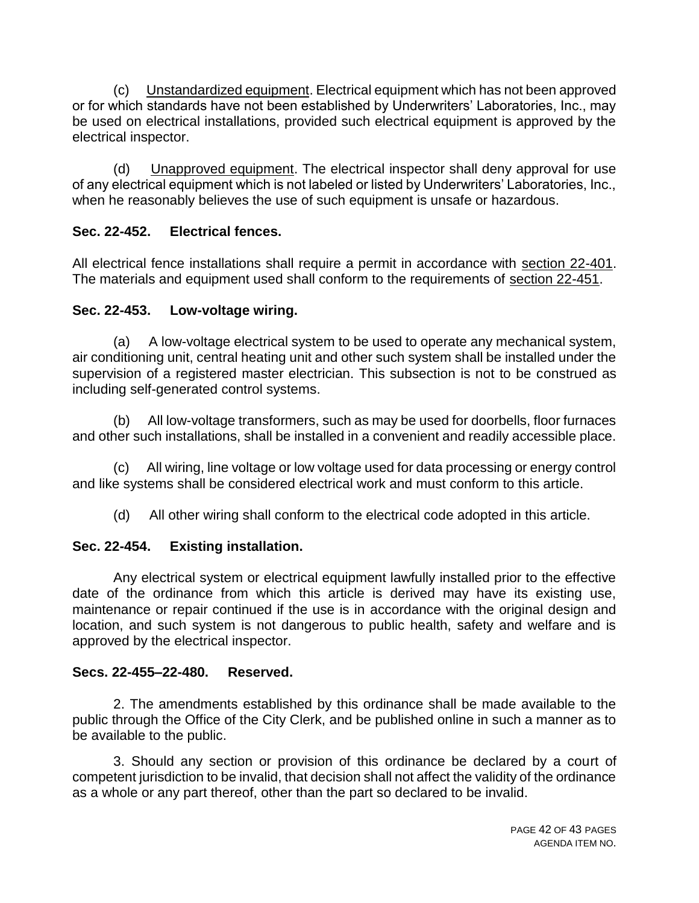(c) Unstandardized equipment. Electrical equipment which has not been approved or for which standards have not been established by Underwriters' Laboratories, Inc., may be used on electrical installations, provided such electrical equipment is approved by the electrical inspector.

(d) Unapproved equipment. The electrical inspector shall deny approval for use of any electrical equipment which is not labeled or listed by Underwriters' Laboratories, Inc., when he reasonably believes the use of such equipment is unsafe or hazardous.

## **Sec. 22-452. Electrical fences.**

All electrical fence installations shall require a permit in accordance with section 22-401. The materials and equipment used shall conform to the requirements of section 22-451.

## **Sec. 22-453. Low-voltage wiring.**

(a) A low-voltage electrical system to be used to operate any mechanical system, air conditioning unit, central heating unit and other such system shall be installed under the supervision of a registered master electrician. This subsection is not to be construed as including self-generated control systems.

(b) All low-voltage transformers, such as may be used for doorbells, floor furnaces and other such installations, shall be installed in a convenient and readily accessible place.

(c) All wiring, line voltage or low voltage used for data processing or energy control and like systems shall be considered electrical work and must conform to this article.

(d) All other wiring shall conform to the electrical code adopted in this article.

# **Sec. 22-454. Existing installation.**

Any electrical system or electrical equipment lawfully installed prior to the effective date of the ordinance from which this article is derived may have its existing use, maintenance or repair continued if the use is in accordance with the original design and location, and such system is not dangerous to public health, safety and welfare and is approved by the electrical inspector.

# **Secs. 22-455–22-480. Reserved.**

2. The amendments established by this ordinance shall be made available to the public through the Office of the City Clerk, and be published online in such a manner as to be available to the public.

3. Should any section or provision of this ordinance be declared by a court of competent jurisdiction to be invalid, that decision shall not affect the validity of the ordinance as a whole or any part thereof, other than the part so declared to be invalid.